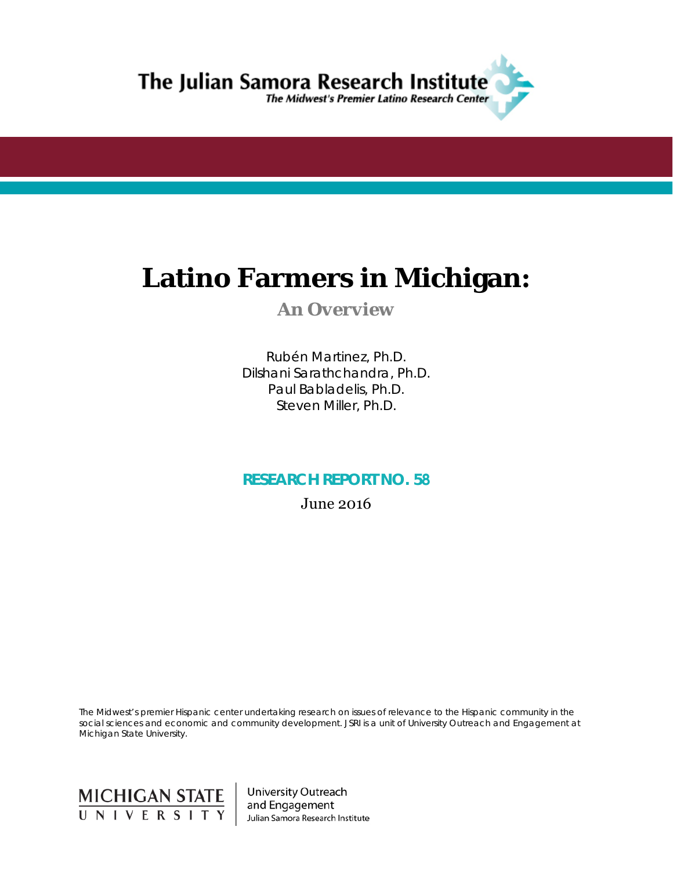

# **Latino Farmers in Michigan:**

*An Overview* 

Rubén Martinez, Ph.D. Dilshani Sarathchandra, Ph.D. Paul Babladelis, Ph.D. Steven Miller, Ph.D.

## **RESEARCH REPORT NO. 58**

June 2016

The Midwest's premier Hispanic center undertaking research on issues of relevance to the Hispanic community in the social sciences and economic and community development. JSRI is a unit of University Outreach and Engagement at Michigan State University.



University Outreach and Engagement Julian Samora Research Institute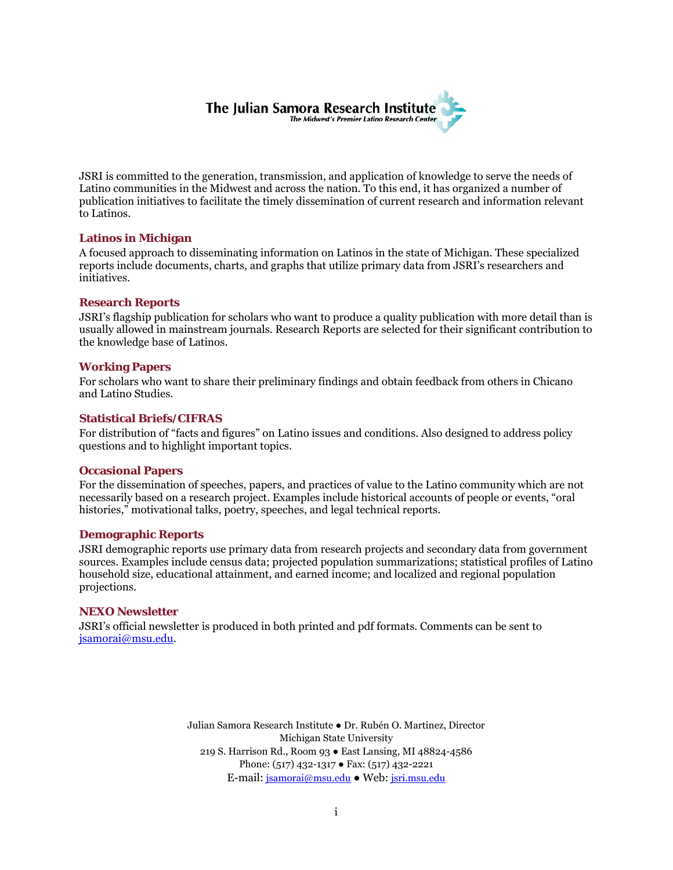The Julian Samora Research Institute The Midwest's Premier Latino Research Center

JSRI is committed to the generation, transmission, and application of knowledge to serve the needs of Latino communities in the Midwest and across the nation. To this end, it has organized a number of publication initiatives to facilitate the timely dissemination of current research and information relevant to Latinos.

#### **Latinos in Michigan**

A focused approach to disseminating information on Latinos in the state of Michigan. These specialized reports include documents, charts, and graphs that utilize primary data from JSRI's researchers and initiatives.

#### **Research Reports**

JSRI's flagship publication for scholars who want to produce a quality publication with more detail than is usually allowed in mainstream journals. Research Reports are selected for their significant contribution to the knowledge base of Latinos.

#### **Working Papers**

For scholars who want to share their preliminary findings and obtain feedback from others in Chicano and Latino Studies.

#### **Statistical Briefs/CIFRAS**

For distribution of "facts and figures" on Latino issues and conditions. Also designed to address policy questions and to highlight important topics.

#### **Occasional Papers**

For the dissemination of speeches, papers, and practices of value to the Latino community which are not necessarily based on a research project. Examples include historical accounts of people or events, "oral histories," motivational talks, poetry, speeches, and legal technical reports.

#### **Demographic Reports**

JSRI demographic reports use primary data from research projects and secondary data from government sources. Examples include census data; projected population summarizations; statistical profiles of Latino household size, educational attainment, and earned income; and localized and regional population projections.

#### **NEXO Newsletter**

JSRI's official newsletter is produced in both printed and pdf formats. Comments can be sent to jsamorai@msu.edu.

> Julian Samora Research Institute ● Dr. Rubén O. Martinez, Director Michigan State University 219 S. Harrison Rd., Room 93 ● East Lansing, MI 48824-4586 Phone: (517) 432-1317 ● Fax: (517) 432-2221 E-mail: jsamorai@msu.edu ● Web: jsri.msu.edu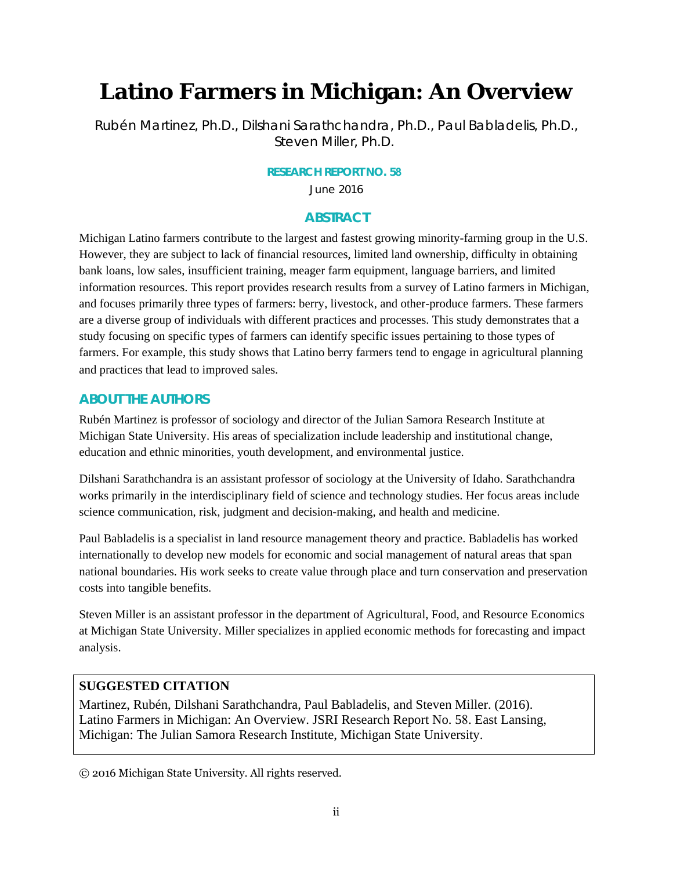# **Latino Farmers in Michigan: An Overview**

Rubén Martinez, Ph.D., Dilshani Sarathchandra, Ph.D., Paul Babladelis, Ph.D., Steven Miller, Ph.D.

#### **RESEARCH REPORT NO. 58**

June 2016

#### **ABSTRACT**

Michigan Latino farmers contribute to the largest and fastest growing minority-farming group in the U.S. However, they are subject to lack of financial resources, limited land ownership, difficulty in obtaining bank loans, low sales, insufficient training, meager farm equipment, language barriers, and limited information resources. This report provides research results from a survey of Latino farmers in Michigan, and focuses primarily three types of farmers: berry, livestock, and other-produce farmers. These farmers are a diverse group of individuals with different practices and processes. This study demonstrates that a study focusing on specific types of farmers can identify specific issues pertaining to those types of farmers. For example, this study shows that Latino berry farmers tend to engage in agricultural planning and practices that lead to improved sales.

#### **ABOUT THE AUTHORS**

Rubén Martinez is professor of sociology and director of the Julian Samora Research Institute at Michigan State University. His areas of specialization include leadership and institutional change, education and ethnic minorities, youth development, and environmental justice.

Dilshani Sarathchandra is an assistant professor of sociology at the University of Idaho. Sarathchandra works primarily in the interdisciplinary field of science and technology studies. Her focus areas include science communication, risk, judgment and decision-making, and health and medicine.

Paul Babladelis is a specialist in land resource management theory and practice. Babladelis has worked internationally to develop new models for economic and social management of natural areas that span national boundaries. His work seeks to create value through place and turn conservation and preservation costs into tangible benefits.

Steven Miller is an assistant professor in the department of Agricultural, Food, and Resource Economics at Michigan State University. Miller specializes in applied economic methods for forecasting and impact analysis.

#### **SUGGESTED CITATION**

Martinez, Rubén, Dilshani Sarathchandra, Paul Babladelis, and Steven Miller. (2016). Latino Farmers in Michigan: An Overview. JSRI Research Report No. 58. East Lansing, Michigan: The Julian Samora Research Institute, Michigan State University.

© 2016 Michigan State University. All rights reserved.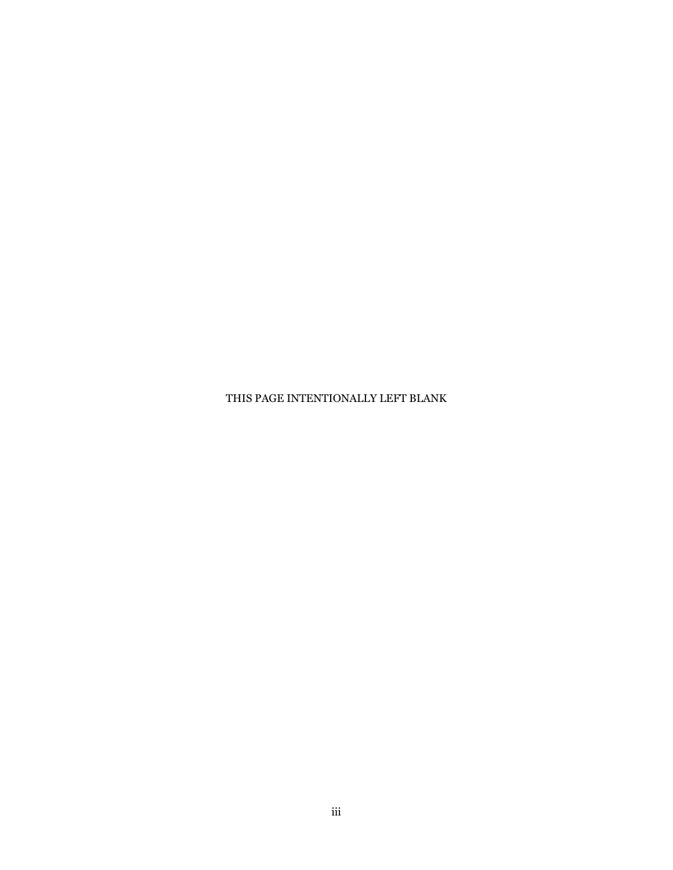THIS PAGE INTENTIONALLY LEFT BLANK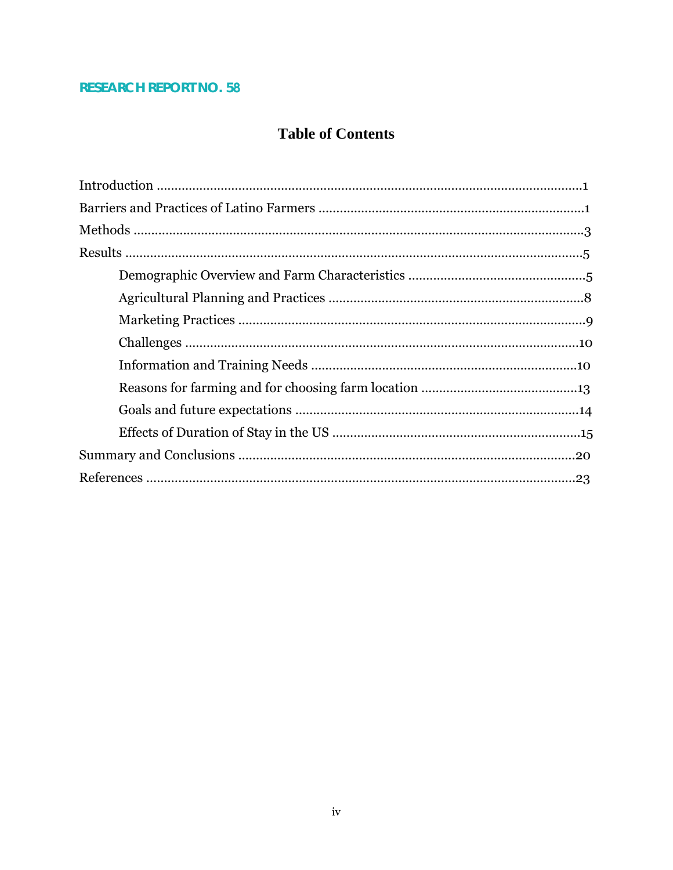## **RESEARCH REPORT NO. 58**

# **Table of Contents**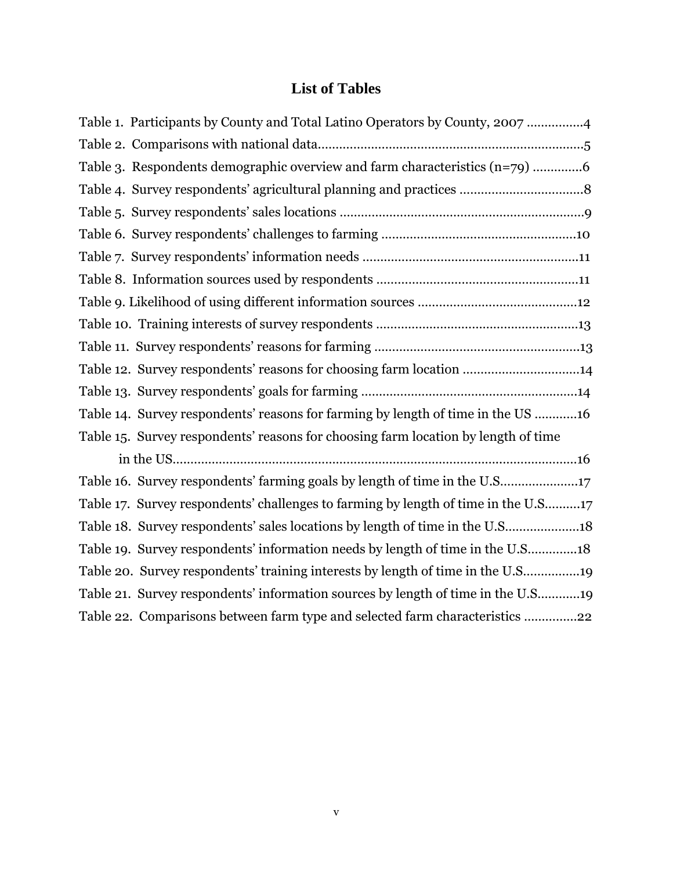# **List of Tables**

| Table 1. Participants by County and Total Latino Operators by County, 2007 4       |
|------------------------------------------------------------------------------------|
|                                                                                    |
| Table 3. Respondents demographic overview and farm characteristics $(n=79)$ 6      |
|                                                                                    |
|                                                                                    |
|                                                                                    |
|                                                                                    |
|                                                                                    |
|                                                                                    |
|                                                                                    |
|                                                                                    |
| Table 12. Survey respondents' reasons for choosing farm location 14                |
|                                                                                    |
| Table 14. Survey respondents' reasons for farming by length of time in the US 16   |
| Table 15. Survey respondents' reasons for choosing farm location by length of time |
|                                                                                    |
| Table 16. Survey respondents' farming goals by length of time in the U.S17         |
| Table 17. Survey respondents' challenges to farming by length of time in the U.S17 |
| Table 18. Survey respondents' sales locations by length of time in the U.S18       |
| Table 19. Survey respondents' information needs by length of time in the U.S18     |
| Table 20. Survey respondents' training interests by length of time in the U.S19    |
| Table 21. Survey respondents' information sources by length of time in the U.S19   |
| Table 22. Comparisons between farm type and selected farm characteristics 22       |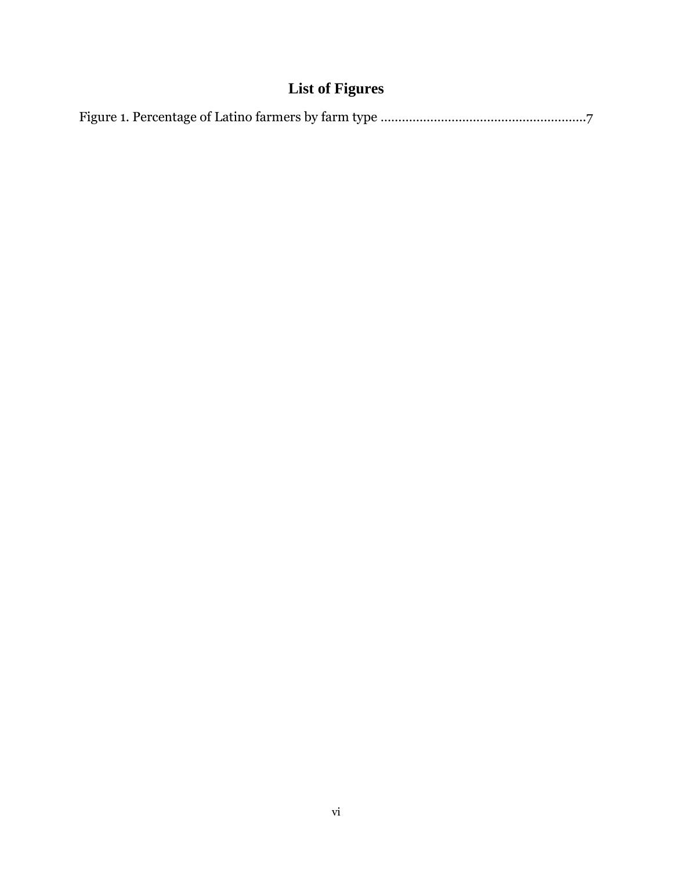# **List of Figures**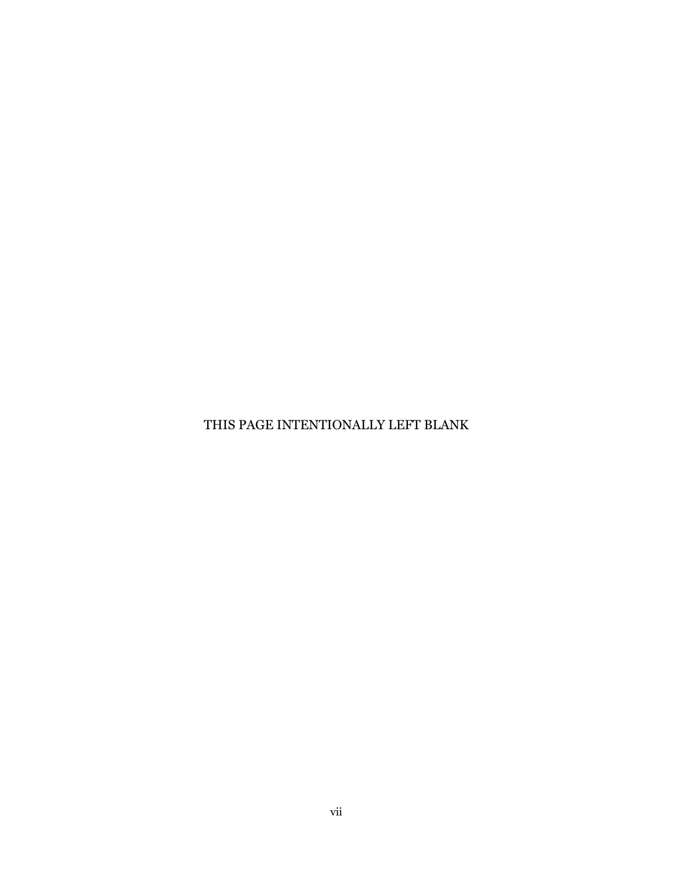THIS PAGE INTENTIONALLY LEFT BLANK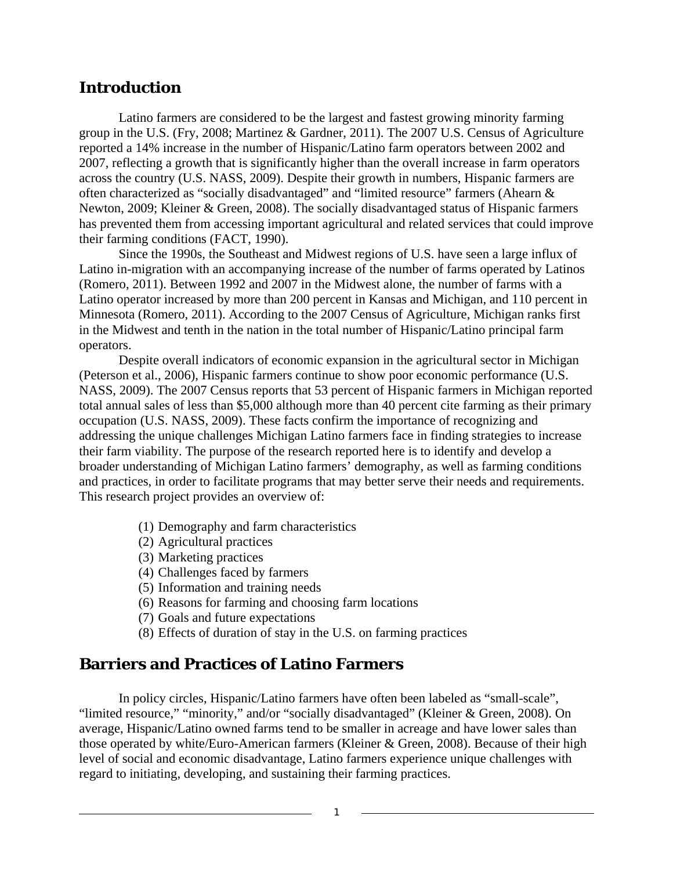## **Introduction**

Latino farmers are considered to be the largest and fastest growing minority farming group in the U.S. (Fry, 2008; Martinez & Gardner, 2011). The 2007 U.S. Census of Agriculture reported a 14% increase in the number of Hispanic/Latino farm operators between 2002 and 2007, reflecting a growth that is significantly higher than the overall increase in farm operators across the country (U.S. NASS, 2009). Despite their growth in numbers, Hispanic farmers are often characterized as "socially disadvantaged" and "limited resource" farmers (Ahearn & Newton, 2009; Kleiner & Green, 2008). The socially disadvantaged status of Hispanic farmers has prevented them from accessing important agricultural and related services that could improve their farming conditions (FACT, 1990).

Since the 1990s, the Southeast and Midwest regions of U.S. have seen a large influx of Latino in-migration with an accompanying increase of the number of farms operated by Latinos (Romero, 2011). Between 1992 and 2007 in the Midwest alone, the number of farms with a Latino operator increased by more than 200 percent in Kansas and Michigan, and 110 percent in Minnesota (Romero, 2011). According to the 2007 Census of Agriculture, Michigan ranks first in the Midwest and tenth in the nation in the total number of Hispanic/Latino principal farm operators.

Despite overall indicators of economic expansion in the agricultural sector in Michigan (Peterson et al., 2006), Hispanic farmers continue to show poor economic performance (U.S. NASS, 2009). The 2007 Census reports that 53 percent of Hispanic farmers in Michigan reported total annual sales of less than \$5,000 although more than 40 percent cite farming as their primary occupation (U.S. NASS, 2009). These facts confirm the importance of recognizing and addressing the unique challenges Michigan Latino farmers face in finding strategies to increase their farm viability. The purpose of the research reported here is to identify and develop a broader understanding of Michigan Latino farmers' demography, as well as farming conditions and practices, in order to facilitate programs that may better serve their needs and requirements. This research project provides an overview of:

- (1) Demography and farm characteristics
- (2) Agricultural practices
- (3) Marketing practices
- (4) Challenges faced by farmers
- (5) Information and training needs
- (6) Reasons for farming and choosing farm locations
- (7) Goals and future expectations
- (8) Effects of duration of stay in the U.S. on farming practices

## **Barriers and Practices of Latino Farmers**

In policy circles, Hispanic/Latino farmers have often been labeled as "small-scale", "limited resource," "minority," and/or "socially disadvantaged" (Kleiner & Green, 2008). On average, Hispanic/Latino owned farms tend to be smaller in acreage and have lower sales than those operated by white/Euro-American farmers (Kleiner & Green, 2008). Because of their high level of social and economic disadvantage, Latino farmers experience unique challenges with regard to initiating, developing, and sustaining their farming practices.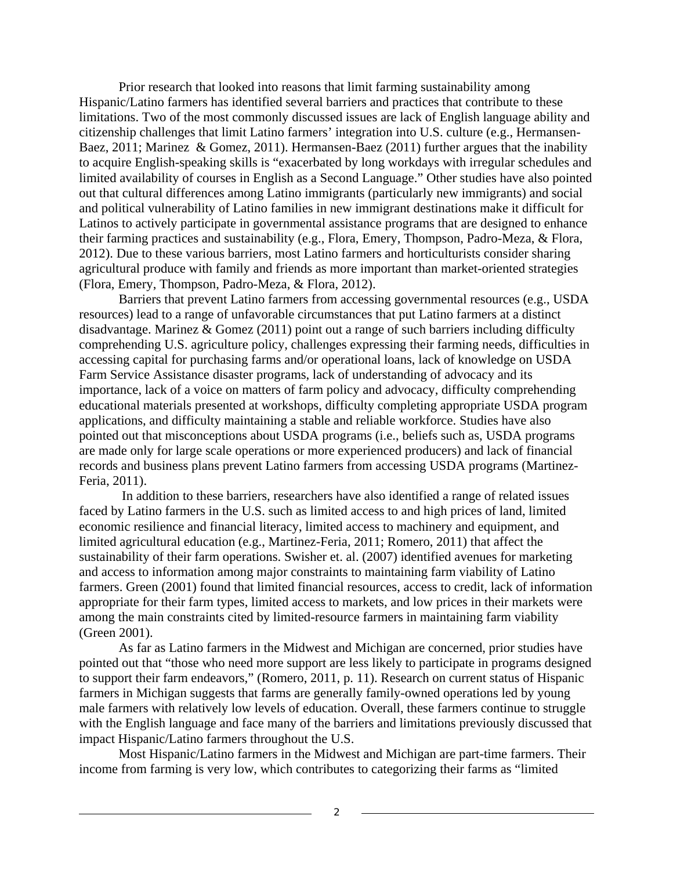Prior research that looked into reasons that limit farming sustainability among Hispanic/Latino farmers has identified several barriers and practices that contribute to these limitations. Two of the most commonly discussed issues are lack of English language ability and citizenship challenges that limit Latino farmers' integration into U.S. culture (e.g., Hermansen-Baez, 2011; Marinez & Gomez, 2011). Hermansen-Baez (2011) further argues that the inability to acquire English-speaking skills is "exacerbated by long workdays with irregular schedules and limited availability of courses in English as a Second Language." Other studies have also pointed out that cultural differences among Latino immigrants (particularly new immigrants) and social and political vulnerability of Latino families in new immigrant destinations make it difficult for Latinos to actively participate in governmental assistance programs that are designed to enhance their farming practices and sustainability (e.g., Flora, Emery, Thompson, Padro-Meza, & Flora, 2012). Due to these various barriers, most Latino farmers and horticulturists consider sharing agricultural produce with family and friends as more important than market-oriented strategies (Flora, Emery, Thompson, Padro-Meza, & Flora, 2012).

Barriers that prevent Latino farmers from accessing governmental resources (e.g., USDA resources) lead to a range of unfavorable circumstances that put Latino farmers at a distinct disadvantage. Marinez & Gomez (2011) point out a range of such barriers including difficulty comprehending U.S. agriculture policy, challenges expressing their farming needs, difficulties in accessing capital for purchasing farms and/or operational loans, lack of knowledge on USDA Farm Service Assistance disaster programs, lack of understanding of advocacy and its importance, lack of a voice on matters of farm policy and advocacy, difficulty comprehending educational materials presented at workshops, difficulty completing appropriate USDA program applications, and difficulty maintaining a stable and reliable workforce. Studies have also pointed out that misconceptions about USDA programs (i.e., beliefs such as, USDA programs are made only for large scale operations or more experienced producers) and lack of financial records and business plans prevent Latino farmers from accessing USDA programs (Martinez-Feria, 2011).

 In addition to these barriers, researchers have also identified a range of related issues faced by Latino farmers in the U.S. such as limited access to and high prices of land, limited economic resilience and financial literacy, limited access to machinery and equipment, and limited agricultural education (e.g., Martinez-Feria, 2011; Romero, 2011) that affect the sustainability of their farm operations. Swisher et. al. (2007) identified avenues for marketing and access to information among major constraints to maintaining farm viability of Latino farmers. Green (2001) found that limited financial resources, access to credit, lack of information appropriate for their farm types, limited access to markets, and low prices in their markets were among the main constraints cited by limited-resource farmers in maintaining farm viability (Green 2001).

As far as Latino farmers in the Midwest and Michigan are concerned, prior studies have pointed out that "those who need more support are less likely to participate in programs designed to support their farm endeavors," (Romero, 2011, p. 11). Research on current status of Hispanic farmers in Michigan suggests that farms are generally family-owned operations led by young male farmers with relatively low levels of education. Overall, these farmers continue to struggle with the English language and face many of the barriers and limitations previously discussed that impact Hispanic/Latino farmers throughout the U.S.

Most Hispanic/Latino farmers in the Midwest and Michigan are part-time farmers. Their income from farming is very low, which contributes to categorizing their farms as "limited

2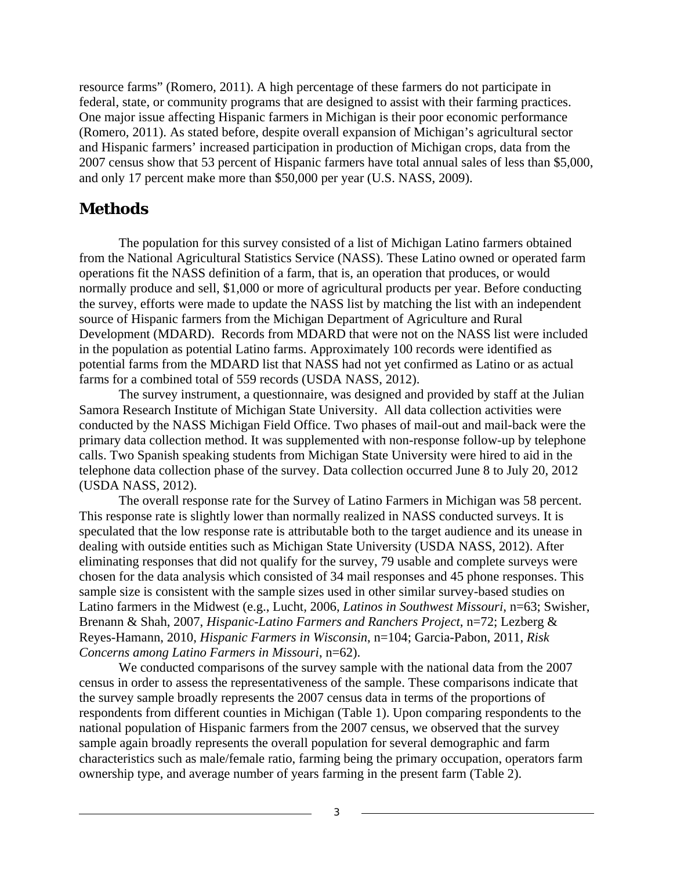resource farms" (Romero, 2011). A high percentage of these farmers do not participate in federal, state, or community programs that are designed to assist with their farming practices. One major issue affecting Hispanic farmers in Michigan is their poor economic performance (Romero, 2011). As stated before, despite overall expansion of Michigan's agricultural sector and Hispanic farmers' increased participation in production of Michigan crops, data from the 2007 census show that 53 percent of Hispanic farmers have total annual sales of less than \$5,000, and only 17 percent make more than \$50,000 per year (U.S. NASS, 2009).

# **Methods**

The population for this survey consisted of a list of Michigan Latino farmers obtained from the National Agricultural Statistics Service (NASS). These Latino owned or operated farm operations fit the NASS definition of a farm, that is, an operation that produces, or would normally produce and sell, \$1,000 or more of agricultural products per year. Before conducting the survey, efforts were made to update the NASS list by matching the list with an independent source of Hispanic farmers from the Michigan Department of Agriculture and Rural Development (MDARD). Records from MDARD that were not on the NASS list were included in the population as potential Latino farms. Approximately 100 records were identified as potential farms from the MDARD list that NASS had not yet confirmed as Latino or as actual farms for a combined total of 559 records (USDA NASS, 2012).

The survey instrument, a questionnaire, was designed and provided by staff at the Julian Samora Research Institute of Michigan State University. All data collection activities were conducted by the NASS Michigan Field Office. Two phases of mail-out and mail-back were the primary data collection method. It was supplemented with non-response follow-up by telephone calls. Two Spanish speaking students from Michigan State University were hired to aid in the telephone data collection phase of the survey. Data collection occurred June 8 to July 20, 2012 (USDA NASS, 2012).

The overall response rate for the Survey of Latino Farmers in Michigan was 58 percent. This response rate is slightly lower than normally realized in NASS conducted surveys. It is speculated that the low response rate is attributable both to the target audience and its unease in dealing with outside entities such as Michigan State University (USDA NASS, 2012). After eliminating responses that did not qualify for the survey, 79 usable and complete surveys were chosen for the data analysis which consisted of 34 mail responses and 45 phone responses. This sample size is consistent with the sample sizes used in other similar survey-based studies on Latino farmers in the Midwest (e.g., Lucht, 2006, *Latinos in Southwest Missouri*, n=63; Swisher, Brenann & Shah, 2007, *Hispanic-Latino Farmers and Ranchers Project*, n=72; Lezberg & Reyes-Hamann, 2010, *Hispanic Farmers in Wisconsin*, n=104; Garcia-Pabon, 2011, *Risk Concerns among Latino Farmers in Missouri*, n=62).

We conducted comparisons of the survey sample with the national data from the 2007 census in order to assess the representativeness of the sample. These comparisons indicate that the survey sample broadly represents the 2007 census data in terms of the proportions of respondents from different counties in Michigan (Table 1). Upon comparing respondents to the national population of Hispanic farmers from the 2007 census, we observed that the survey sample again broadly represents the overall population for several demographic and farm characteristics such as male/female ratio, farming being the primary occupation, operators farm ownership type, and average number of years farming in the present farm (Table 2).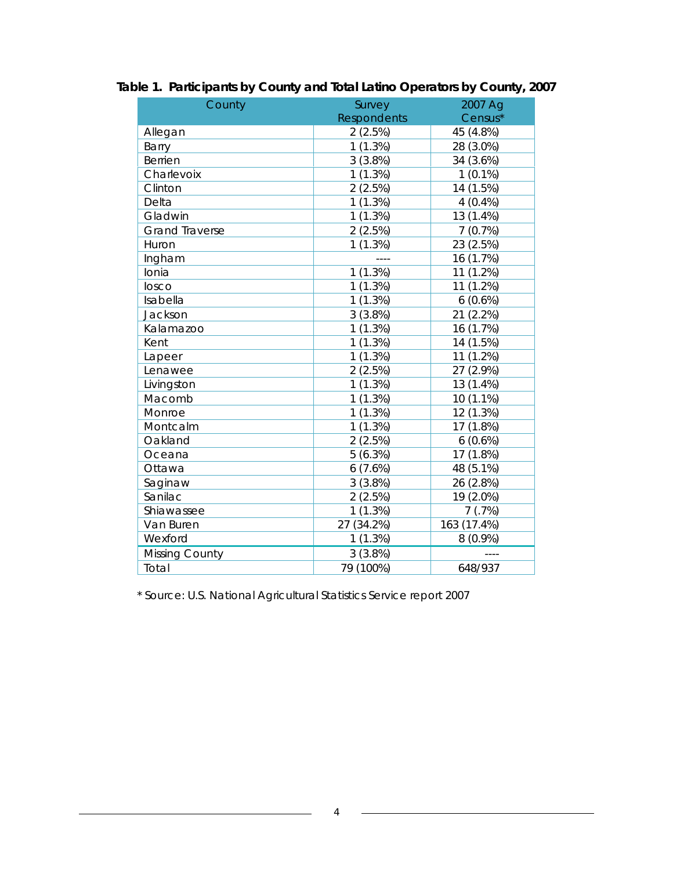| County                | Survey             | 2007 Ag     |
|-----------------------|--------------------|-------------|
|                       | <b>Respondents</b> | Census*     |
| Allegan               | 2(2.5%)            | 45 (4.8%)   |
| Barry                 | 1(1.3%)            | 28 (3.0%)   |
| <b>Berrien</b>        | 3(3.8%)            | 34 (3.6%)   |
| Charlevoix            | 1(1.3%)            | $1(0.1\%)$  |
| Clinton               | 2(2.5%)            | 14 (1.5%)   |
| Delta                 | 1(1.3%)            | $4(0.4\%)$  |
| Gladwin               | 1(1.3%)            | 13 (1.4%)   |
| <b>Grand Traverse</b> | 2(2.5%)            | 7(0.7%)     |
| Huron                 | 1(1.3%)            | 23 (2.5%)   |
| Ingham                | $- - - -$          | 16 (1.7%)   |
| Ionia                 | 1(1.3%)            | 11 (1.2%)   |
| losco                 | 1(1.3%)            | 11 (1.2%)   |
| Isabella              | 1(1.3%)            | 6(0.6%)     |
| Jackson               | 3(3.8%)            | 21 (2.2%)   |
| Kalamazoo             | 1(1.3%)            | 16 (1.7%)   |
| Kent                  | 1(1.3%)            | 14 (1.5%)   |
| Lapeer                | 1(1.3%)            | 11 (1.2%)   |
| Lenawee               | 2(2.5%)            | 27 (2.9%)   |
| Livingston            | 1(1.3%)            | 13 (1.4%)   |
| Macomb                | 1(1.3%)            | 10 (1.1%)   |
| Monroe                | 1(1.3%)            | 12 (1.3%)   |
| Montcalm              | 1(1.3%)            | 17 (1.8%)   |
| Oakland               | 2(2.5%)            | 6(0.6%)     |
| Oceana                | 5(6.3%)            | 17 (1.8%)   |
| Ottawa                | 6(7.6%)            | 48 (5.1%)   |
| Saginaw               | 3(3.8%)            | 26 (2.8%)   |
| Sanilac               | 2(2.5%)            | 19 (2.0%)   |
| Shiawassee            | 1(1.3%)            | 7(.7%)      |
| Van Buren             | 27 (34.2%)         | 163 (17.4%) |
| Wexford               | 1(1.3%)            | $8(0.9\%)$  |
| Missing County        | 3(3.8%)            |             |
| Total                 | 79 (100%)          | 648/937     |

# **Table 1. Participants by County and Total Latino Operators by County, 2007**

\* Source: U.S. National Agricultural Statistics Service report 2007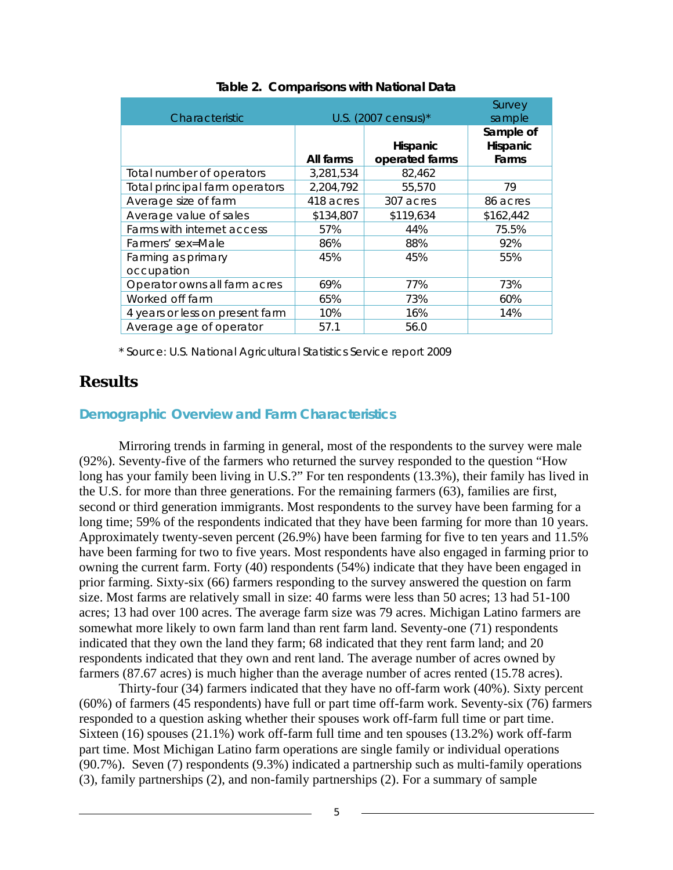| Characteristic                   |           | U.S. $(2007$ census) <sup>*</sup> | Survey<br>sample               |
|----------------------------------|-----------|-----------------------------------|--------------------------------|
|                                  | All farms | Hispanic<br>operated farms        | Sample of<br>Hispanic<br>Farms |
| Total number of operators        | 3,281,534 | 82,462                            |                                |
| Total principal farm operators   | 2,204,792 | 55,570                            | 79                             |
| Average size of farm             | 418 acres | 307 acres                         | 86 acres                       |
| Average value of sales           | \$134,807 | \$119,634                         | \$162,442                      |
| Farms with internet access       | 57%       | 44%                               | 75.5%                          |
| Farmers' sex=Male                | 86%       | 88%                               | 92%                            |
| Farming as primary<br>occupation | 45%       | 45%                               | 55%                            |
| Operator owns all farm acres     | 69%       | 77%                               | 73%                            |
| Worked off farm                  | 65%       | 73%                               | 60%                            |
| 4 years or less on present farm  | 10%       | 16%                               | 14%                            |
| Average age of operator          | 57.1      | 56.0                              |                                |

#### **Table 2. Comparisons with National Data**

\* Source: U.S. National Agricultural Statistics Service report 2009

# **Results**

#### **Demographic Overview and Farm Characteristics**

Mirroring trends in farming in general, most of the respondents to the survey were male (92%). Seventy-five of the farmers who returned the survey responded to the question "How long has your family been living in U.S.?" For ten respondents (13.3%), their family has lived in the U.S. for more than three generations. For the remaining farmers (63), families are first, second or third generation immigrants. Most respondents to the survey have been farming for a long time; 59% of the respondents indicated that they have been farming for more than 10 years. Approximately twenty-seven percent (26.9%) have been farming for five to ten years and 11.5% have been farming for two to five years. Most respondents have also engaged in farming prior to owning the current farm. Forty (40) respondents (54%) indicate that they have been engaged in prior farming. Sixty-six (66) farmers responding to the survey answered the question on farm size. Most farms are relatively small in size: 40 farms were less than 50 acres; 13 had 51-100 acres; 13 had over 100 acres. The average farm size was 79 acres. Michigan Latino farmers are somewhat more likely to own farm land than rent farm land. Seventy-one (71) respondents indicated that they own the land they farm; 68 indicated that they rent farm land; and 20 respondents indicated that they own and rent land. The average number of acres owned by farmers (87.67 acres) is much higher than the average number of acres rented (15.78 acres).

Thirty-four (34) farmers indicated that they have no off-farm work (40%). Sixty percent (60%) of farmers (45 respondents) have full or part time off-farm work. Seventy-six (76) farmers responded to a question asking whether their spouses work off-farm full time or part time. Sixteen (16) spouses (21.1%) work off-farm full time and ten spouses (13.2%) work off-farm part time. Most Michigan Latino farm operations are single family or individual operations (90.7%). Seven (7) respondents (9.3%) indicated a partnership such as multi-family operations (3), family partnerships (2), and non-family partnerships (2). For a summary of sample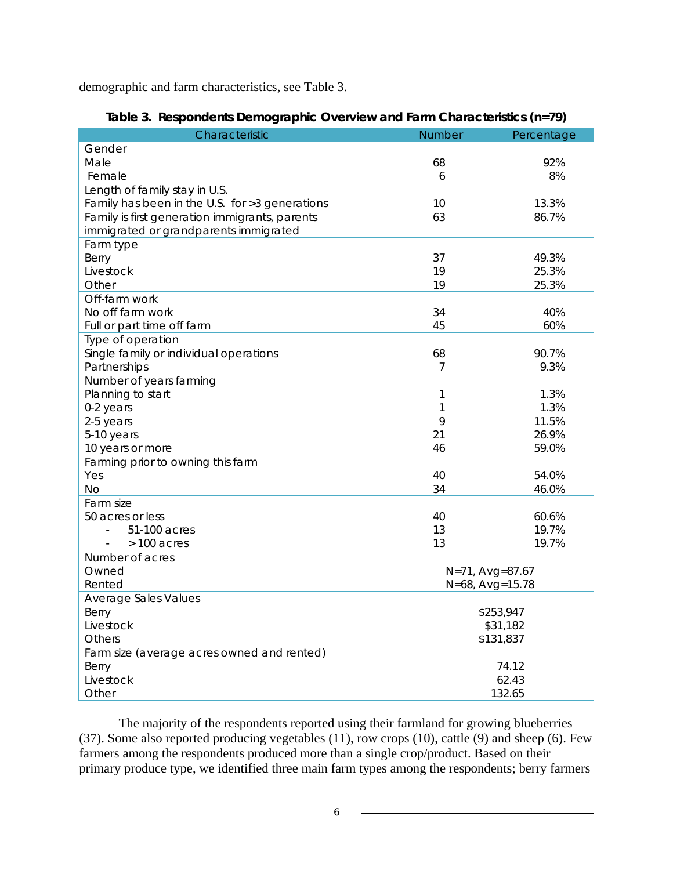demographic and farm characteristics, see Table 3.

| Characteristic                                 | Number               | Percentage |
|------------------------------------------------|----------------------|------------|
| Gender                                         |                      |            |
| Male                                           | 68                   | 92%        |
| Female                                         | 6                    | 8%         |
| Length of family stay in U.S.                  |                      |            |
| Family has been in the U.S. for >3 generations | 10                   | 13.3%      |
| Family is first generation immigrants, parents | 63                   | 86.7%      |
| immigrated or grandparents immigrated          |                      |            |
| Farm type                                      |                      |            |
| <b>Berry</b>                                   | 37                   | 49.3%      |
| Livestock                                      | 19                   | 25.3%      |
| Other                                          | 19                   | 25.3%      |
| Off-farm work                                  |                      |            |
| No off farm work                               | 34                   | 40%        |
| Full or part time off farm                     | 45                   | 60%        |
| Type of operation                              |                      |            |
| Single family or individual operations         | 68                   | 90.7%      |
| Partnerships                                   | 7                    | 9.3%       |
| Number of years farming                        |                      |            |
| Planning to start                              | $\mathbf{1}$         | 1.3%       |
| 0-2 years                                      | $\mathbf{1}$         | 1.3%       |
| 2-5 years                                      | 9                    | 11.5%      |
| 5-10 years                                     | 21                   | 26.9%      |
| 10 years or more                               | 46                   | 59.0%      |
| Farming prior to owning this farm              |                      |            |
| Yes                                            | 40                   | 54.0%      |
| <b>No</b>                                      | 34                   | 46.0%      |
| Farm size                                      |                      |            |
| 50 acres or less                               | 40                   | 60.6%      |
| 51-100 acres                                   | 13                   | 19.7%      |
| $>100$ acres                                   | 13                   | 19.7%      |
| Number of acres                                |                      |            |
| Owned                                          | $N=71$ , $Avg=87.67$ |            |
| Rented                                         | N=68, Avg=15.78      |            |
| Average Sales Values                           |                      |            |
| Berry                                          |                      | \$253,947  |
| Livestock                                      |                      | \$31,182   |
| Others                                         |                      | \$131,837  |
| Farm size (average acres owned and rented)     |                      |            |
| <b>Berry</b>                                   |                      | 74.12      |
| Livestock                                      |                      | 62.43      |
| Other                                          |                      | 132.65     |

#### **Table 3. Respondents Demographic Overview and Farm Characteristics (n=79)**

The majority of the respondents reported using their farmland for growing blueberries (37). Some also reported producing vegetables (11), row crops (10), cattle (9) and sheep (6). Few farmers among the respondents produced more than a single crop/product. Based on their primary produce type, we identified three main farm types among the respondents; berry farmers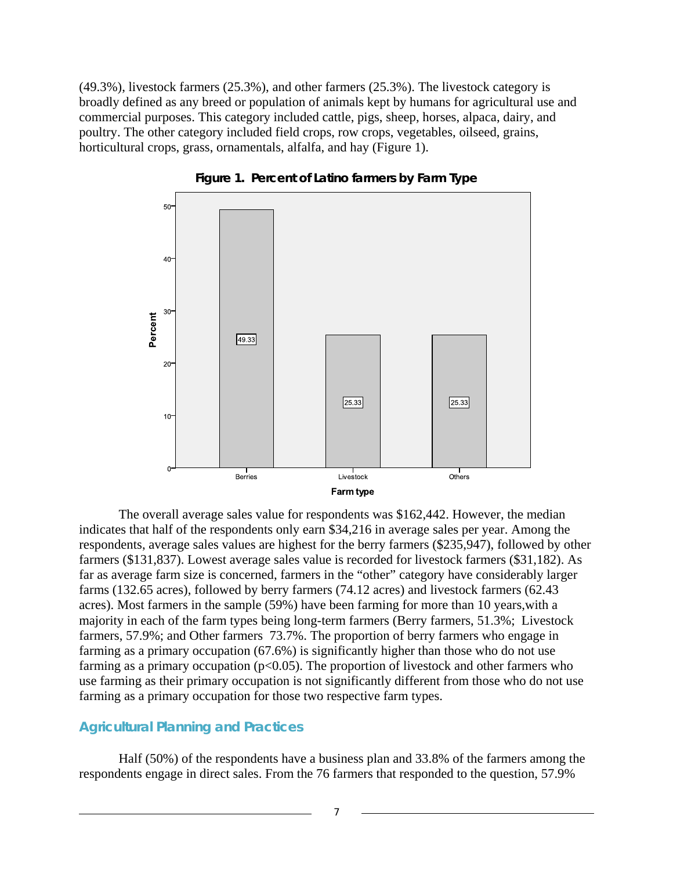(49.3%), livestock farmers (25.3%), and other farmers (25.3%). The livestock category is broadly defined as any breed or population of animals kept by humans for agricultural use and commercial purposes. This category included cattle, pigs, sheep, horses, alpaca, dairy, and poultry. The other category included field crops, row crops, vegetables, oilseed, grains, horticultural crops, grass, ornamentals, alfalfa, and hay (Figure 1).





 The overall average sales value for respondents was \$162,442. However, the median indicates that half of the respondents only earn \$34,216 in average sales per year. Among the respondents, average sales values are highest for the berry farmers (\$235,947), followed by other farmers (\$131,837). Lowest average sales value is recorded for livestock farmers (\$31,182). As far as average farm size is concerned, farmers in the "other" category have considerably larger farms (132.65 acres), followed by berry farmers (74.12 acres) and livestock farmers (62.43 acres). Most farmers in the sample (59%) have been farming for more than 10 years,with a majority in each of the farm types being long-term farmers (Berry farmers, 51.3%; Livestock farmers, 57.9%; and Other farmers 73.7%. The proportion of berry farmers who engage in farming as a primary occupation (67.6%) is significantly higher than those who do not use farming as a primary occupation ( $p<0.05$ ). The proportion of livestock and other farmers who use farming as their primary occupation is not significantly different from those who do not use farming as a primary occupation for those two respective farm types.

## **Agricultural Planning and Practices**

Half (50%) of the respondents have a business plan and 33.8% of the farmers among the respondents engage in direct sales. From the 76 farmers that responded to the question, 57.9%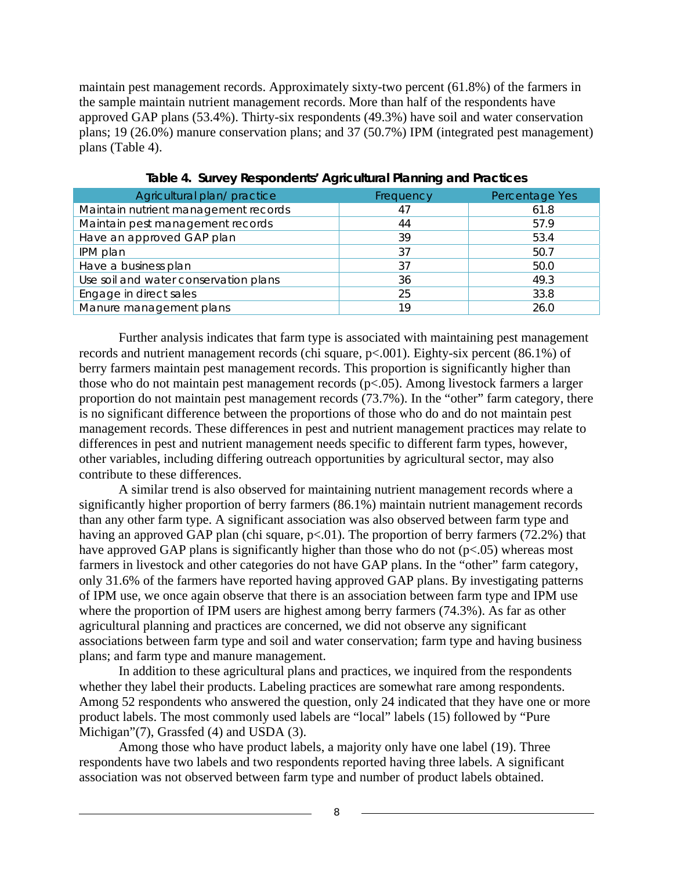maintain pest management records. Approximately sixty-two percent (61.8%) of the farmers in the sample maintain nutrient management records. More than half of the respondents have approved GAP plans (53.4%). Thirty-six respondents (49.3%) have soil and water conservation plans; 19 (26.0%) manure conservation plans; and 37 (50.7%) IPM (integrated pest management) plans (Table 4).

| Agricultural plan/practice            | Frequency | Percentage Yes |
|---------------------------------------|-----------|----------------|
| Maintain nutrient management records  | 47        | 61.8           |
| Maintain pest management records      | 44        | 57.9           |
| Have an approved GAP plan             | 39        | 53.4           |
| IPM plan                              | 37        | 50.7           |
| Have a business plan                  | 37        | 50.0           |
| Use soil and water conservation plans | 36        | 49.3           |
| Engage in direct sales                | 25        | 33.8           |
| Manure management plans               | 19        | 26.0           |

**Table 4. Survey Respondents' Agricultural Planning and Practices**

Further analysis indicates that farm type is associated with maintaining pest management records and nutrient management records (chi square, p<.001). Eighty-six percent (86.1%) of berry farmers maintain pest management records. This proportion is significantly higher than those who do not maintain pest management records (p<.05). Among livestock farmers a larger proportion do not maintain pest management records (73.7%). In the "other" farm category, there is no significant difference between the proportions of those who do and do not maintain pest management records. These differences in pest and nutrient management practices may relate to differences in pest and nutrient management needs specific to different farm types, however, other variables, including differing outreach opportunities by agricultural sector, may also contribute to these differences.

A similar trend is also observed for maintaining nutrient management records where a significantly higher proportion of berry farmers (86.1%) maintain nutrient management records than any other farm type. A significant association was also observed between farm type and having an approved GAP plan (chi square,  $p<0$ 1). The proportion of berry farmers (72.2%) that have approved GAP plans is significantly higher than those who do not  $(p<0.05)$  whereas most farmers in livestock and other categories do not have GAP plans. In the "other" farm category, only 31.6% of the farmers have reported having approved GAP plans. By investigating patterns of IPM use, we once again observe that there is an association between farm type and IPM use where the proportion of IPM users are highest among berry farmers (74.3%). As far as other agricultural planning and practices are concerned, we did not observe any significant associations between farm type and soil and water conservation; farm type and having business plans; and farm type and manure management.

In addition to these agricultural plans and practices, we inquired from the respondents whether they label their products. Labeling practices are somewhat rare among respondents. Among 52 respondents who answered the question, only 24 indicated that they have one or more product labels. The most commonly used labels are "local" labels (15) followed by "Pure Michigan"(7), Grassfed (4) and USDA (3).

Among those who have product labels, a majority only have one label (19). Three respondents have two labels and two respondents reported having three labels. A significant association was not observed between farm type and number of product labels obtained.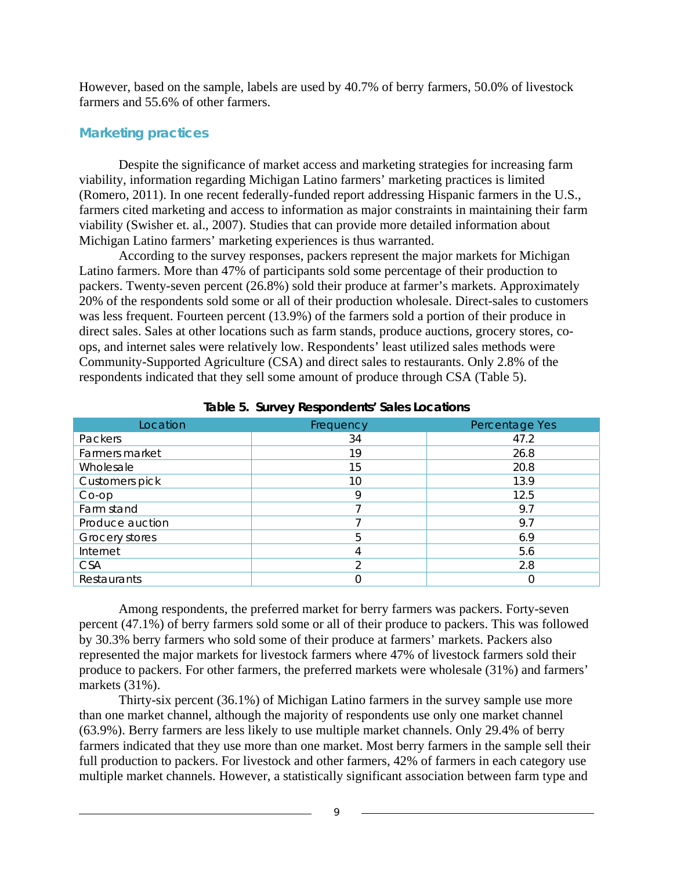However, based on the sample, labels are used by 40.7% of berry farmers, 50.0% of livestock farmers and 55.6% of other farmers.

## **Marketing practices**

Despite the significance of market access and marketing strategies for increasing farm viability, information regarding Michigan Latino farmers' marketing practices is limited (Romero, 2011). In one recent federally-funded report addressing Hispanic farmers in the U.S., farmers cited marketing and access to information as major constraints in maintaining their farm viability (Swisher et. al., 2007). Studies that can provide more detailed information about Michigan Latino farmers' marketing experiences is thus warranted.

According to the survey responses, packers represent the major markets for Michigan Latino farmers. More than 47% of participants sold some percentage of their production to packers. Twenty-seven percent (26.8%) sold their produce at farmer's markets. Approximately 20% of the respondents sold some or all of their production wholesale. Direct-sales to customers was less frequent. Fourteen percent (13.9%) of the farmers sold a portion of their produce in direct sales. Sales at other locations such as farm stands, produce auctions, grocery stores, coops, and internet sales were relatively low. Respondents' least utilized sales methods were Community-Supported Agriculture (CSA) and direct sales to restaurants. Only 2.8% of the respondents indicated that they sell some amount of produce through CSA (Table 5).

| Location        | Frequency | Percentage Yes |
|-----------------|-----------|----------------|
| Packers         | 34        | 47.2           |
| Farmers market  | 19        | 26.8           |
| Wholesale       | 15        | 20.8           |
| Customers pick  | 10        | 13.9           |
| $Co$ -op        | Q         | 12.5           |
| Farm stand      |           | 9.7            |
| Produce auction |           | 9.7            |
| Grocery stores  | 5         | 6.9            |
| Internet        |           | 5.6            |
| <b>CSA</b>      | ⌒         | 2.8            |
| Restaurants     |           |                |

**Table 5. Survey Respondents' Sales Locations**

Among respondents, the preferred market for berry farmers was packers. Forty-seven percent (47.1%) of berry farmers sold some or all of their produce to packers. This was followed by 30.3% berry farmers who sold some of their produce at farmers' markets. Packers also represented the major markets for livestock farmers where 47% of livestock farmers sold their produce to packers. For other farmers, the preferred markets were wholesale (31%) and farmers' markets (31%).

Thirty-six percent (36.1%) of Michigan Latino farmers in the survey sample use more than one market channel, although the majority of respondents use only one market channel (63.9%). Berry farmers are less likely to use multiple market channels. Only 29.4% of berry farmers indicated that they use more than one market. Most berry farmers in the sample sell their full production to packers. For livestock and other farmers, 42% of farmers in each category use multiple market channels. However, a statistically significant association between farm type and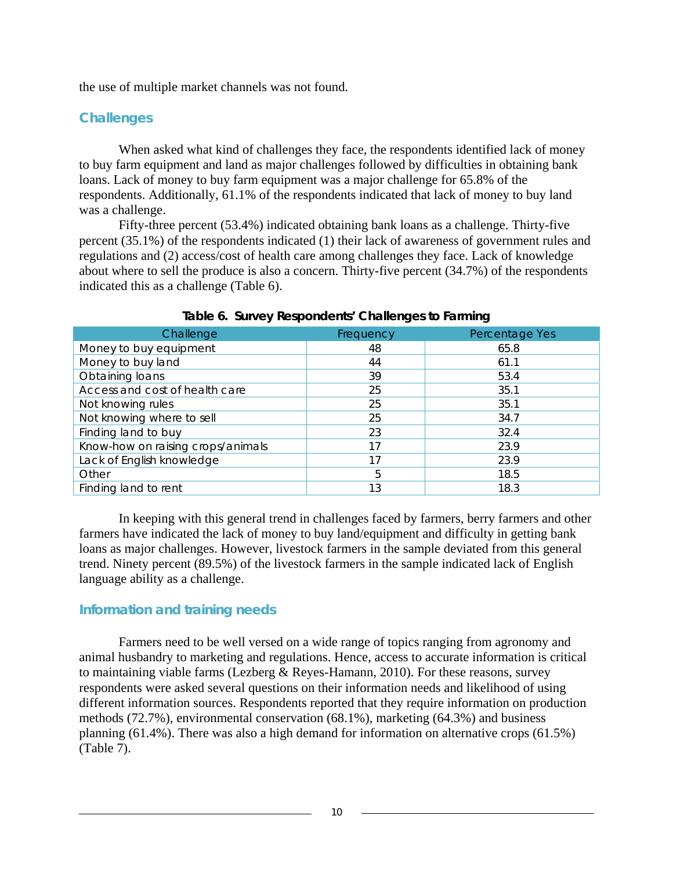the use of multiple market channels was not found.

## **Challenges**

When asked what kind of challenges they face, the respondents identified lack of money to buy farm equipment and land as major challenges followed by difficulties in obtaining bank loans. Lack of money to buy farm equipment was a major challenge for 65.8% of the respondents. Additionally, 61.1% of the respondents indicated that lack of money to buy land was a challenge.

Fifty-three percent (53.4%) indicated obtaining bank loans as a challenge. Thirty-five percent (35.1%) of the respondents indicated (1) their lack of awareness of government rules and regulations and (2) access/cost of health care among challenges they face. Lack of knowledge about where to sell the produce is also a concern. Thirty-five percent (34.7%) of the respondents indicated this as a challenge (Table 6).

| Challenge                         | Frequency | Percentage Yes |
|-----------------------------------|-----------|----------------|
| Money to buy equipment            | 48        | 65.8           |
| Money to buy land                 | 44        | 61.1           |
| Obtaining loans                   | 39        | 53.4           |
| Access and cost of health care    | 25        | 35.1           |
| Not knowing rules                 | 25        | 35.1           |
| Not knowing where to sell         | 25        | 34.7           |
| Finding land to buy               | 23        | 32.4           |
| Know-how on raising crops/animals | 17        | 23.9           |
| Lack of English knowledge         | 17        | 23.9           |
| Other                             | 5         | 18.5           |
| Finding land to rent              | 13        | 18.3           |

#### **Table 6. Survey Respondents' Challenges to Farming**

In keeping with this general trend in challenges faced by farmers, berry farmers and other farmers have indicated the lack of money to buy land/equipment and difficulty in getting bank loans as major challenges. However, livestock farmers in the sample deviated from this general trend. Ninety percent (89.5%) of the livestock farmers in the sample indicated lack of English language ability as a challenge.

## **Information and training needs**

Farmers need to be well versed on a wide range of topics ranging from agronomy and animal husbandry to marketing and regulations. Hence, access to accurate information is critical to maintaining viable farms (Lezberg & Reyes-Hamann, 2010). For these reasons, survey respondents were asked several questions on their information needs and likelihood of using different information sources. Respondents reported that they require information on production methods (72.7%), environmental conservation (68.1%), marketing (64.3%) and business planning (61.4%). There was also a high demand for information on alternative crops (61.5%) (Table 7).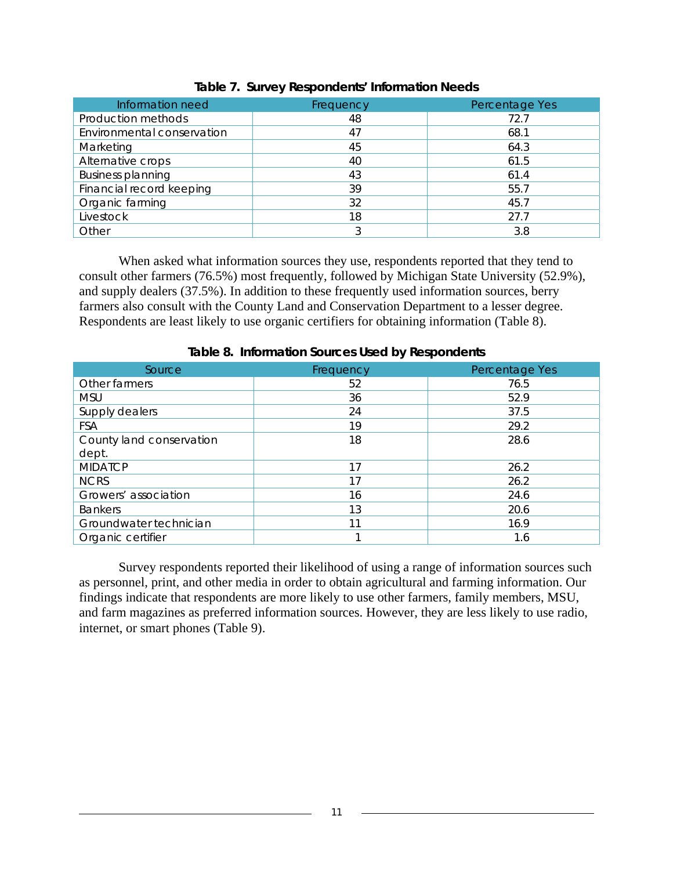| Information need           | Frequency | Percentage Yes |
|----------------------------|-----------|----------------|
| Production methods         | 48        | 72.7           |
| Environmental conservation | 47        | 68.1           |
| Marketing                  | 45        | 64.3           |
| Alternative crops          | 40        | 61.5           |
| <b>Business planning</b>   | 43        | 61.4           |
| Financial record keeping   | 39        | 55.7           |
| Organic farming            | 32        | 45.7           |
| Livestock                  | 18        | 27.7           |
| Other                      |           | 3.8            |

#### **Table 7. Survey Respondents' Information Needs**

When asked what information sources they use, respondents reported that they tend to consult other farmers (76.5%) most frequently, followed by Michigan State University (52.9%), and supply dealers (37.5%). In addition to these frequently used information sources, berry farmers also consult with the County Land and Conservation Department to a lesser degree. Respondents are least likely to use organic certifiers for obtaining information (Table 8).

| Source                   | Frequency | Percentage Yes |
|--------------------------|-----------|----------------|
| Other farmers            | 52        | 76.5           |
| <b>MSU</b>               | 36        | 52.9           |
| Supply dealers           | 24        | 37.5           |
| <b>FSA</b>               | 19        | 29.2           |
| County land conservation | 18        | 28.6           |
| dept.                    |           |                |
| <b>MIDATCP</b>           | 17        | 26.2           |
| <b>NCRS</b>              | 17        | 26.2           |
| Growers' association     | 16        | 24.6           |
| <b>Bankers</b>           | 13        | 20.6           |
| Groundwater technician   | 11        | 16.9           |
| Organic certifier        |           | 1.6            |

#### **Table 8. Information Sources Used by Respondents**

Survey respondents reported their likelihood of using a range of information sources such as personnel, print, and other media in order to obtain agricultural and farming information. Our findings indicate that respondents are more likely to use other farmers, family members, MSU, and farm magazines as preferred information sources. However, they are less likely to use radio, internet, or smart phones (Table 9).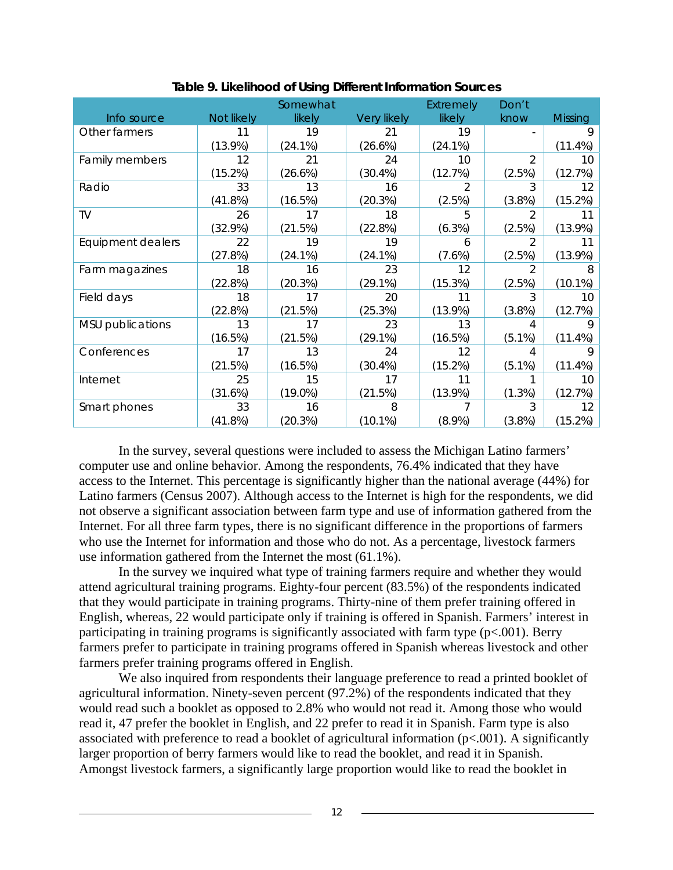|                          |            | Somewhat   |             | <b>Extremely</b> | Don't          |                |
|--------------------------|------------|------------|-------------|------------------|----------------|----------------|
| Info source              | Not likely | likely     | Very likely | likely           | know           | <b>Missing</b> |
| Other farmers            | 11         | 19         | 21          | 19               |                | 9              |
|                          | $(13.9\%)$ | $(24.1\%)$ | (26.6%)     | $(24.1\%)$       |                | $(11.4\%)$     |
| Family members           | 12         | 21         | 24          | 10               | $\mathfrak{D}$ | 10             |
|                          | (15.2%)    | (26.6%)    | $(30.4\%)$  | (12.7%)          | (2.5%)         | (12.7%)        |
| Radio                    | 33         | 13         | 16          | $\mathfrak{D}$   | 3              | 12             |
|                          | (41.8%)    | (16.5%)    | (20.3%)     | (2.5%)           | $(3.8\%)$      | (15.2%)        |
| <b>TV</b>                | 26         | 17         | 18          | 5                | $\mathfrak{D}$ | 11             |
|                          | (32.9%)    | (21.5%)    | (22.8%)     | (6.3%)           | (2.5%)         | $(13.9\%)$     |
| <b>Equipment dealers</b> | 22         | 19         | 19          | 6                | $\mathcal{P}$  | 11             |
|                          | (27.8%)    | $(24.1\%)$ | $(24.1\%)$  | $(7.6\%)$        | (2.5%)         | $(13.9\%)$     |
| Farm magazines           | 18         | 16         | 23          | 12               | $\mathfrak{D}$ | 8              |
|                          | (22.8%)    | (20.3%)    | $(29.1\%)$  | (15.3%)          | (2.5%)         | $(10.1\%)$     |
| Field days               | 18         | 17         | 20          | 11               | ζ              | 10             |
|                          | (22.8%)    | (21.5%)    | (25.3%)     | $(13.9\%)$       | (3.8%)         | (12.7%)        |
| <b>MSU</b> publications  | 13         | 17         | 23          | 13               | 4              | 9              |
|                          | (16.5%)    | (21.5%)    | $(29.1\%)$  | (16.5%)          | $(5.1\%)$      | $(11.4\%)$     |
| Conferences              | 17         | 13         | 24          | 12               | 4              | 9              |
|                          | (21.5%)    | (16.5%)    | $(30.4\%)$  | (15.2%)          | $(5.1\%)$      | $(11.4\%)$     |
| Internet                 | 25         | 15         | 17          | 11               |                | 10             |
|                          | (31.6%)    | $(19.0\%)$ | (21.5%)     | $(13.9\%)$       | $(1.3\%)$      | (12.7%)        |
| Smart phones             | 33         | 16         | 8           | 7                | 3              | 12             |
|                          | (41.8%)    | (20.3%)    | $(10.1\%)$  | $(8.9\%)$        | $(3.8\%)$      | (15.2%)        |

| Table 9. Likelihood of Using Different Information Sources |  |
|------------------------------------------------------------|--|
|------------------------------------------------------------|--|

In the survey, several questions were included to assess the Michigan Latino farmers' computer use and online behavior. Among the respondents, 76.4% indicated that they have access to the Internet. This percentage is significantly higher than the national average (44%) for Latino farmers (Census 2007). Although access to the Internet is high for the respondents, we did not observe a significant association between farm type and use of information gathered from the Internet. For all three farm types, there is no significant difference in the proportions of farmers who use the Internet for information and those who do not. As a percentage, livestock farmers use information gathered from the Internet the most (61.1%).

In the survey we inquired what type of training farmers require and whether they would attend agricultural training programs. Eighty-four percent (83.5%) of the respondents indicated that they would participate in training programs. Thirty-nine of them prefer training offered in English, whereas, 22 would participate only if training is offered in Spanish. Farmers' interest in participating in training programs is significantly associated with farm type  $(p<.001)$ . Berry farmers prefer to participate in training programs offered in Spanish whereas livestock and other farmers prefer training programs offered in English.

We also inquired from respondents their language preference to read a printed booklet of agricultural information. Ninety-seven percent (97.2%) of the respondents indicated that they would read such a booklet as opposed to 2.8% who would not read it. Among those who would read it, 47 prefer the booklet in English, and 22 prefer to read it in Spanish. Farm type is also associated with preference to read a booklet of agricultural information ( $p<.001$ ). A significantly larger proportion of berry farmers would like to read the booklet, and read it in Spanish. Amongst livestock farmers, a significantly large proportion would like to read the booklet in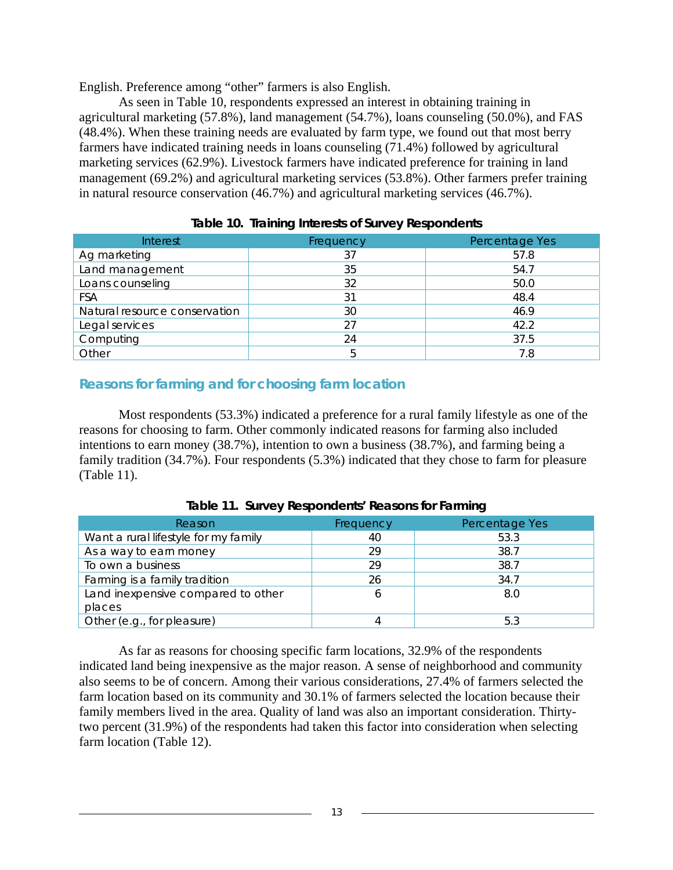English. Preference among "other" farmers is also English.

As seen in Table 10, respondents expressed an interest in obtaining training in agricultural marketing (57.8%), land management (54.7%), loans counseling (50.0%), and FAS (48.4%). When these training needs are evaluated by farm type, we found out that most berry farmers have indicated training needs in loans counseling (71.4%) followed by agricultural marketing services (62.9%). Livestock farmers have indicated preference for training in land management (69.2%) and agricultural marketing services (53.8%). Other farmers prefer training in natural resource conservation (46.7%) and agricultural marketing services (46.7%).

| Interest                      | Frequency | Percentage Yes |
|-------------------------------|-----------|----------------|
| Ag marketing                  | 37        | 57.8           |
| Land management               | 35        | 54.7           |
| Loans counseling              | 32        | 50.0           |
| <b>FSA</b>                    |           | 48.4           |
| Natural resource conservation | 30        | 46.9           |
| Legal services                | 27        | 42.2           |
| Computing                     | 24        | 37.5           |
| Other                         | h         | 7.8            |

### **Table 10. Training Interests of Survey Respondents**

## **Reasons for farming and for choosing farm location**

Most respondents (53.3%) indicated a preference for a rural family lifestyle as one of the reasons for choosing to farm. Other commonly indicated reasons for farming also included intentions to earn money (38.7%), intention to own a business (38.7%), and farming being a family tradition (34.7%). Four respondents (5.3%) indicated that they chose to farm for pleasure (Table 11).

| Reason                               | Frequency | Percentage Yes |
|--------------------------------------|-----------|----------------|
| Want a rural lifestyle for my family | 40        | 53.3           |
| As a way to earn money               | 29        | 38.7           |
| To own a business                    | 29        | 38.7           |
| Farming is a family tradition        | 26        | 34.7           |
| Land inexpensive compared to other   |           | 8.0            |
| places                               |           |                |
| Other (e.g., for pleasure)           |           | 5.3            |

**Table 11. Survey Respondents' Reasons for Farming**

As far as reasons for choosing specific farm locations, 32.9% of the respondents indicated land being inexpensive as the major reason. A sense of neighborhood and community also seems to be of concern. Among their various considerations, 27.4% of farmers selected the farm location based on its community and 30.1% of farmers selected the location because their family members lived in the area. Quality of land was also an important consideration. Thirtytwo percent (31.9%) of the respondents had taken this factor into consideration when selecting farm location (Table 12).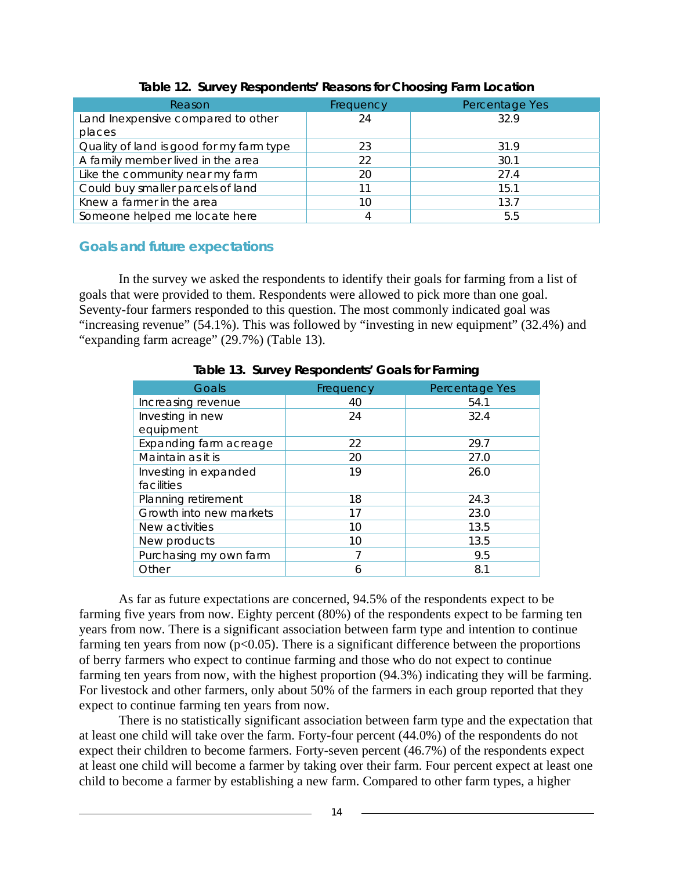| Reason                                   | Frequency | Percentage Yes |
|------------------------------------------|-----------|----------------|
| Land Inexpensive compared to other       | 24        | 32.9           |
| places                                   |           |                |
| Quality of land is good for my farm type | 23        | 31.9           |
| A family member lived in the area        | 22        | 30.1           |
| Like the community near my farm          | 20        | 27.4           |
| Could buy smaller parcels of land        |           | 15.1           |
| Knew a farmer in the area                | 10        | 13.7           |
| Someone helped me locate here            |           | 5.5            |

**Table 12. Survey Respondents' Reasons for Choosing Farm Location**

## **Goals and future expectations**

In the survey we asked the respondents to identify their goals for farming from a list of goals that were provided to them. Respondents were allowed to pick more than one goal. Seventy-four farmers responded to this question. The most commonly indicated goal was "increasing revenue" (54.1%). This was followed by "investing in new equipment" (32.4%) and "expanding farm acreage" (29.7%) (Table 13).

| Goals                   | Frequency | Percentage Yes |
|-------------------------|-----------|----------------|
| Increasing revenue      | 40        | 54.1           |
| Investing in new        | 24        | 32.4           |
| equipment               |           |                |
| Expanding farm acreage  | 22        | 29.7           |
| Maintain as it is       | 20        | 27.0           |
| Investing in expanded   | 19        | 26.0           |
| facilities              |           |                |
| Planning retirement     | 18        | 24.3           |
| Growth into new markets | 17        | 23.0           |
| New activities          | 10        | 13.5           |
| New products            | 10        | 13.5           |
| Purchasing my own farm  | 7         | 9.5            |
| Other                   | 6         | 8.1            |

**Table 13. Survey Respondents' Goals for Farming**

As far as future expectations are concerned, 94.5% of the respondents expect to be farming five years from now. Eighty percent (80%) of the respondents expect to be farming ten years from now. There is a significant association between farm type and intention to continue farming ten years from now ( $p<0.05$ ). There is a significant difference between the proportions of berry farmers who expect to continue farming and those who do not expect to continue farming ten years from now, with the highest proportion (94.3%) indicating they will be farming. For livestock and other farmers, only about 50% of the farmers in each group reported that they expect to continue farming ten years from now.

There is no statistically significant association between farm type and the expectation that at least one child will take over the farm. Forty-four percent (44.0%) of the respondents do not expect their children to become farmers. Forty-seven percent (46.7%) of the respondents expect at least one child will become a farmer by taking over their farm. Four percent expect at least one child to become a farmer by establishing a new farm. Compared to other farm types, a higher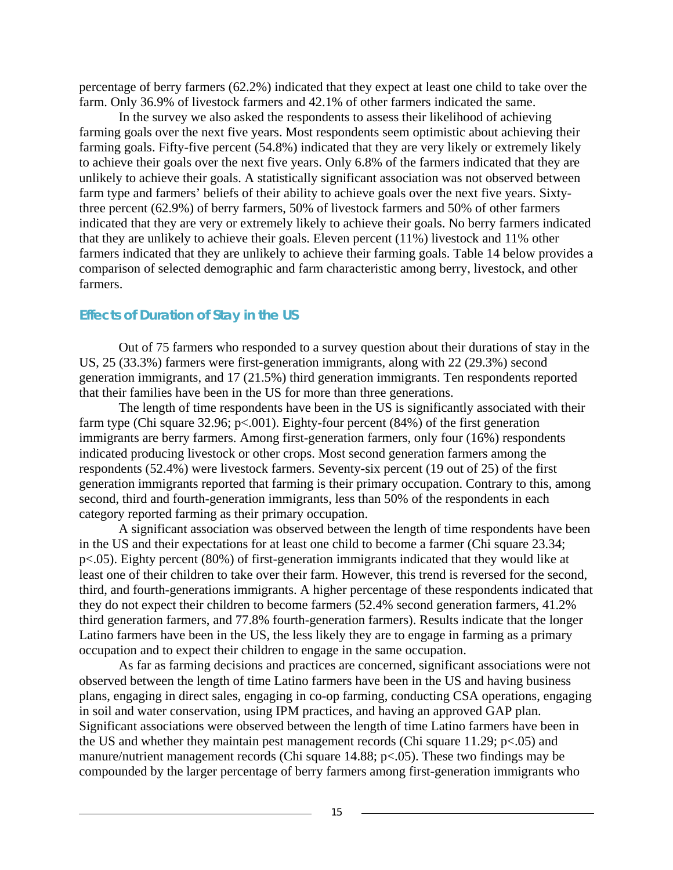percentage of berry farmers (62.2%) indicated that they expect at least one child to take over the farm. Only 36.9% of livestock farmers and 42.1% of other farmers indicated the same.

In the survey we also asked the respondents to assess their likelihood of achieving farming goals over the next five years. Most respondents seem optimistic about achieving their farming goals. Fifty-five percent (54.8%) indicated that they are very likely or extremely likely to achieve their goals over the next five years. Only 6.8% of the farmers indicated that they are unlikely to achieve their goals. A statistically significant association was not observed between farm type and farmers' beliefs of their ability to achieve goals over the next five years. Sixtythree percent (62.9%) of berry farmers, 50% of livestock farmers and 50% of other farmers indicated that they are very or extremely likely to achieve their goals. No berry farmers indicated that they are unlikely to achieve their goals. Eleven percent (11%) livestock and 11% other farmers indicated that they are unlikely to achieve their farming goals. Table 14 below provides a comparison of selected demographic and farm characteristic among berry, livestock, and other farmers.

## **Effects of Duration of Stay in the US**

Out of 75 farmers who responded to a survey question about their durations of stay in the US, 25 (33.3%) farmers were first-generation immigrants, along with 22 (29.3%) second generation immigrants, and 17 (21.5%) third generation immigrants. Ten respondents reported that their families have been in the US for more than three generations.

The length of time respondents have been in the US is significantly associated with their farm type (Chi square 32.96; p<.001). Eighty-four percent (84%) of the first generation immigrants are berry farmers. Among first-generation farmers, only four (16%) respondents indicated producing livestock or other crops. Most second generation farmers among the respondents (52.4%) were livestock farmers. Seventy-six percent (19 out of 25) of the first generation immigrants reported that farming is their primary occupation. Contrary to this, among second, third and fourth-generation immigrants, less than 50% of the respondents in each category reported farming as their primary occupation.

A significant association was observed between the length of time respondents have been in the US and their expectations for at least one child to become a farmer (Chi square 23.34; p<.05). Eighty percent (80%) of first-generation immigrants indicated that they would like at least one of their children to take over their farm. However, this trend is reversed for the second, third, and fourth-generations immigrants. A higher percentage of these respondents indicated that they do not expect their children to become farmers (52.4% second generation farmers, 41.2% third generation farmers, and 77.8% fourth-generation farmers). Results indicate that the longer Latino farmers have been in the US, the less likely they are to engage in farming as a primary occupation and to expect their children to engage in the same occupation.

As far as farming decisions and practices are concerned, significant associations were not observed between the length of time Latino farmers have been in the US and having business plans, engaging in direct sales, engaging in co-op farming, conducting CSA operations, engaging in soil and water conservation, using IPM practices, and having an approved GAP plan. Significant associations were observed between the length of time Latino farmers have been in the US and whether they maintain pest management records (Chi square 11.29;  $p<.05$ ) and manure/nutrient management records (Chi square 14.88; p<.05). These two findings may be compounded by the larger percentage of berry farmers among first-generation immigrants who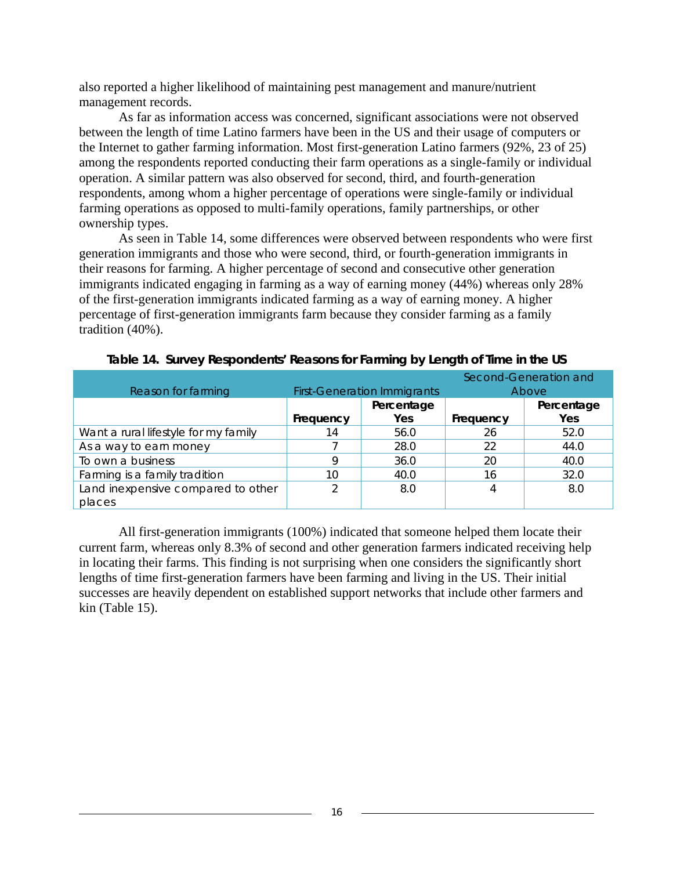also reported a higher likelihood of maintaining pest management and manure/nutrient management records.

As far as information access was concerned, significant associations were not observed between the length of time Latino farmers have been in the US and their usage of computers or the Internet to gather farming information. Most first-generation Latino farmers (92%, 23 of 25) among the respondents reported conducting their farm operations as a single-family or individual operation. A similar pattern was also observed for second, third, and fourth-generation respondents, among whom a higher percentage of operations were single-family or individual farming operations as opposed to multi-family operations, family partnerships, or other ownership types.

 As seen in Table 14, some differences were observed between respondents who were first generation immigrants and those who were second, third, or fourth-generation immigrants in their reasons for farming. A higher percentage of second and consecutive other generation immigrants indicated engaging in farming as a way of earning money (44%) whereas only 28% of the first-generation immigrants indicated farming as a way of earning money. A higher percentage of first-generation immigrants farm because they consider farming as a family tradition (40%).

|                                      |           | Second-Generation and              |           |            |
|--------------------------------------|-----------|------------------------------------|-----------|------------|
| Reason for farming                   |           | <b>First-Generation Immigrants</b> |           | Above      |
|                                      |           | Percentage                         |           | Percentage |
|                                      | Frequency | <b>Yes</b>                         | Frequency | Yes        |
| Want a rural lifestyle for my family | 14        | 56.0                               | 26        | 52.0       |
| As a way to earn money               |           | 28.0                               | 22        | 44.0       |
| To own a business                    | Q         | 36.0                               | 20        | 40.0       |
| Farming is a family tradition        | 10        | 40.0                               | 16        | 32.0       |
| Land inexpensive compared to other   | ∍         | 8.0                                |           | 8.0        |
| places                               |           |                                    |           |            |

**Table 14. Survey Respondents' Reasons for Farming by Length of Time in the US**

All first-generation immigrants (100%) indicated that someone helped them locate their current farm, whereas only 8.3% of second and other generation farmers indicated receiving help in locating their farms. This finding is not surprising when one considers the significantly short lengths of time first-generation farmers have been farming and living in the US. Their initial successes are heavily dependent on established support networks that include other farmers and kin (Table 15).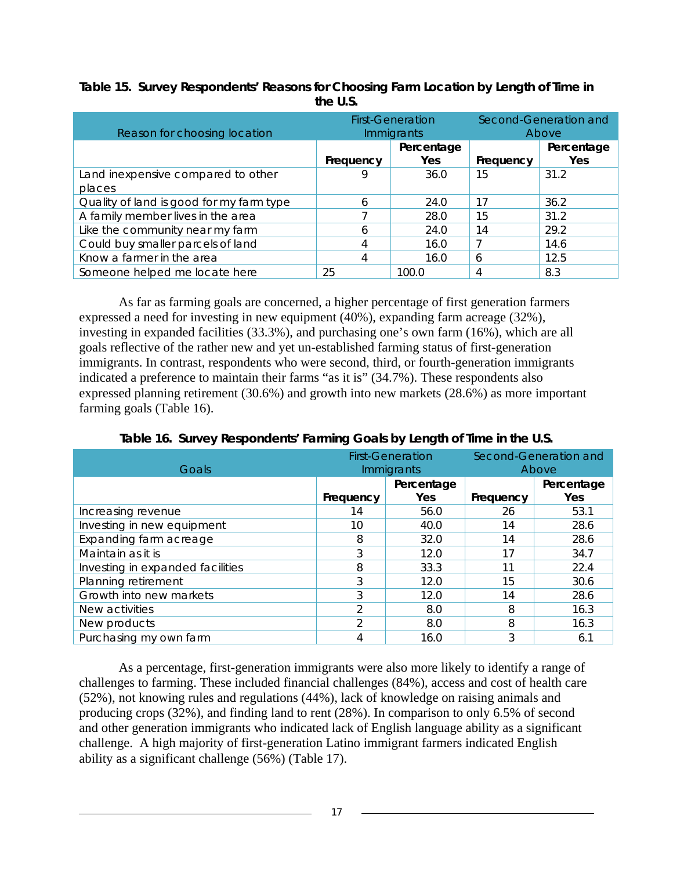#### **Table 15. Survey Respondents' Reasons for Choosing Farm Location by Length of Time in the U.S.**

|                                          | <b>First-Generation</b> |                   | Second-Generation and |            |  |
|------------------------------------------|-------------------------|-------------------|-----------------------|------------|--|
| Reason for choosing location             |                         | <b>Immigrants</b> |                       | Above      |  |
|                                          |                         | Percentage        |                       | Percentage |  |
|                                          | Frequency               | Yes               | Frequency             | <b>Yes</b> |  |
| Land inexpensive compared to other       | 9                       | 36.0              | 15                    | 31.2       |  |
| places                                   |                         |                   |                       |            |  |
| Quality of land is good for my farm type | h                       | 24.0              | 17                    | 36.2       |  |
| A family member lives in the area        |                         | 28.0              | 15                    | 31.2       |  |
| Like the community near my farm          | h                       | 24.0              | 14                    | 29.2       |  |
| Could buy smaller parcels of land        |                         | 16.0              |                       | 14.6       |  |
| Know a farmer in the area                |                         | 16.0              | 6                     | 12.5       |  |
| Someone helped me locate here            | 25                      | 100.0             | 4                     | 8.3        |  |

 As far as farming goals are concerned, a higher percentage of first generation farmers expressed a need for investing in new equipment (40%), expanding farm acreage (32%), investing in expanded facilities (33.3%), and purchasing one's own farm (16%), which are all goals reflective of the rather new and yet un-established farming status of first-generation immigrants. In contrast, respondents who were second, third, or fourth-generation immigrants indicated a preference to maintain their farms "as it is" (34.7%). These respondents also expressed planning retirement (30.6%) and growth into new markets (28.6%) as more important farming goals (Table 16).

|                                  |           | <b>First-Generation</b> |           | Second-Generation and |
|----------------------------------|-----------|-------------------------|-----------|-----------------------|
| Goals                            |           | <b>Immigrants</b>       |           | Above                 |
|                                  |           | Percentage              |           | Percentage            |
|                                  | Frequency | <b>Yes</b>              | Frequency | Yes.                  |
| Increasing revenue               | 14        | 56.0                    | 26        | 53.1                  |
| Investing in new equipment       | 10        | 40.0                    | 14        | 28.6                  |
| Expanding farm acreage           | 8         | 32.0                    | 14        | 28.6                  |
| Maintain as it is                | 3         | 12.0                    | 17        | 34.7                  |
| Investing in expanded facilities | 8         | 33.3                    | 11        | 22.4                  |
| Planning retirement              | 3         | 12.0                    | 15        | 30.6                  |
| Growth into new markets          | 3         | 12.0                    | 14        | 28.6                  |
| New activities                   | ↷         | 8.0                     | 8         | 16.3                  |
| New products                     | ∍         | 8.0                     | 8         | 16.3                  |
| Purchasing my own farm           | 4         | 16.0                    | 3         | $6^{\circ}$           |

As a percentage, first-generation immigrants were also more likely to identify a range of challenges to farming. These included financial challenges (84%), access and cost of health care (52%), not knowing rules and regulations (44%), lack of knowledge on raising animals and producing crops (32%), and finding land to rent (28%). In comparison to only 6.5% of second and other generation immigrants who indicated lack of English language ability as a significant challenge. A high majority of first-generation Latino immigrant farmers indicated English ability as a significant challenge (56%) (Table 17).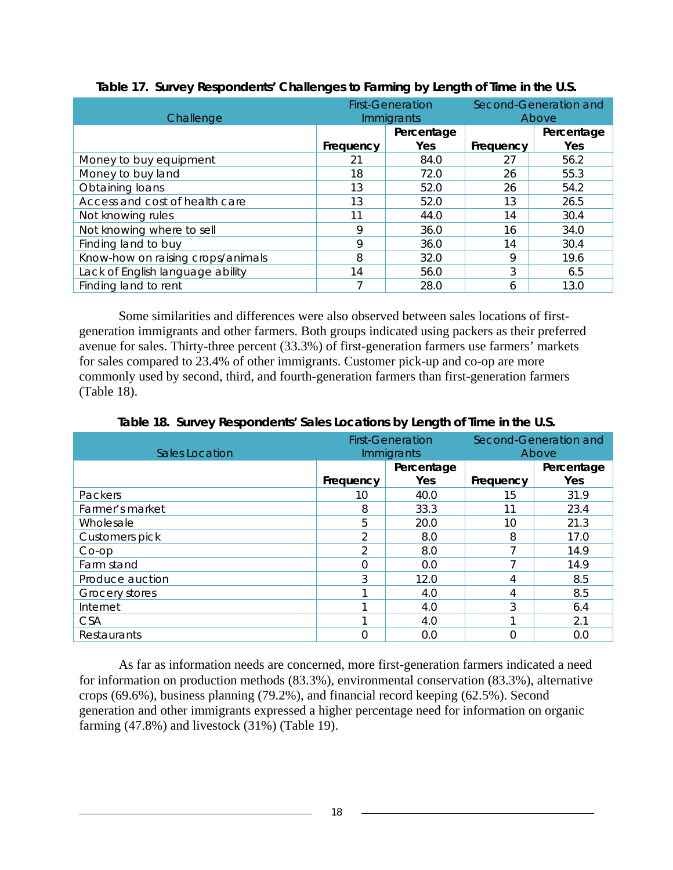| Challenge                         | <b>First-Generation</b><br>Immigrants |                          | Second-Generation and<br>Above |                   |
|-----------------------------------|---------------------------------------|--------------------------|--------------------------------|-------------------|
|                                   | Frequency                             | Percentage<br><b>Yes</b> | Frequency                      | Percentage<br>Yes |
| Money to buy equipment            | 21                                    | 84.0                     | 27                             | 56.2              |
| Money to buy land                 | 18                                    | 72.0                     | 26                             | 55.3              |
| Obtaining loans                   | 13                                    | 52.0                     | 26                             | 54.2              |
| Access and cost of health care    | 13                                    | 52.0                     | 13                             | 26.5              |
| Not knowing rules                 |                                       | 44.0                     | 14                             | 30.4              |
| Not knowing where to sell         | 9                                     | 36.0                     | 16                             | 34.0              |
| Finding land to buy               | 9                                     | 36.0                     | 14                             | 30.4              |
| Know-how on raising crops/animals | 8                                     | 32.0                     | 9                              | 19.6              |
| Lack of English language ability  | 14                                    | 56.0                     | 3                              | 6.5               |
| Finding land to rent              |                                       | 28.0                     | 6                              | 13.0              |

#### **Table 17. Survey Respondents' Challenges to Farming by Length of Time in the U.S.**

 Some similarities and differences were also observed between sales locations of firstgeneration immigrants and other farmers. Both groups indicated using packers as their preferred avenue for sales. Thirty-three percent (33.3%) of first-generation farmers use farmers' markets for sales compared to 23.4% of other immigrants. Customer pick-up and co-op are more commonly used by second, third, and fourth-generation farmers than first-generation farmers (Table 18).

|                       | <b>First-Generation</b> |            | Second-Generation and |            |
|-----------------------|-------------------------|------------|-----------------------|------------|
| <b>Sales Location</b> |                         | Immigrants |                       | Above      |
|                       |                         | Percentage |                       | Percentage |
|                       | Frequency               | Yes        | Frequency             | <b>Yes</b> |
| Packers               | 10                      | 40.0       | 15                    | 31.9       |
| Farmer's market       | 8                       | 33.3       | 11                    | 23.4       |
| Wholesale             | 5                       | 20.0       | 10                    | 21.3       |
| Customers pick        | ↑                       | 8.0        | 8                     | 17.0       |
| $Co$ -op              | ↑                       | 8.0        |                       | 14.9       |
| Farm stand            | O                       | 0.0        |                       | 14.9       |
| Produce auction       | 3                       | 12.0       | 4                     | 8.5        |
| Grocery stores        |                         | 4.0        | 4                     | 8.5        |
| Internet              |                         | 4.0        | 3                     | 6.4        |
| <b>CSA</b>            |                         | 4.0        |                       | 2.1        |
| Restaurants           |                         | 0.0        |                       | 0.0        |

**Table 18. Survey Respondents' Sales Locations by Length of Time in the U.S.**

 As far as information needs are concerned, more first-generation farmers indicated a need for information on production methods (83.3%), environmental conservation (83.3%), alternative crops (69.6%), business planning (79.2%), and financial record keeping (62.5%). Second generation and other immigrants expressed a higher percentage need for information on organic farming (47.8%) and livestock (31%) (Table 19).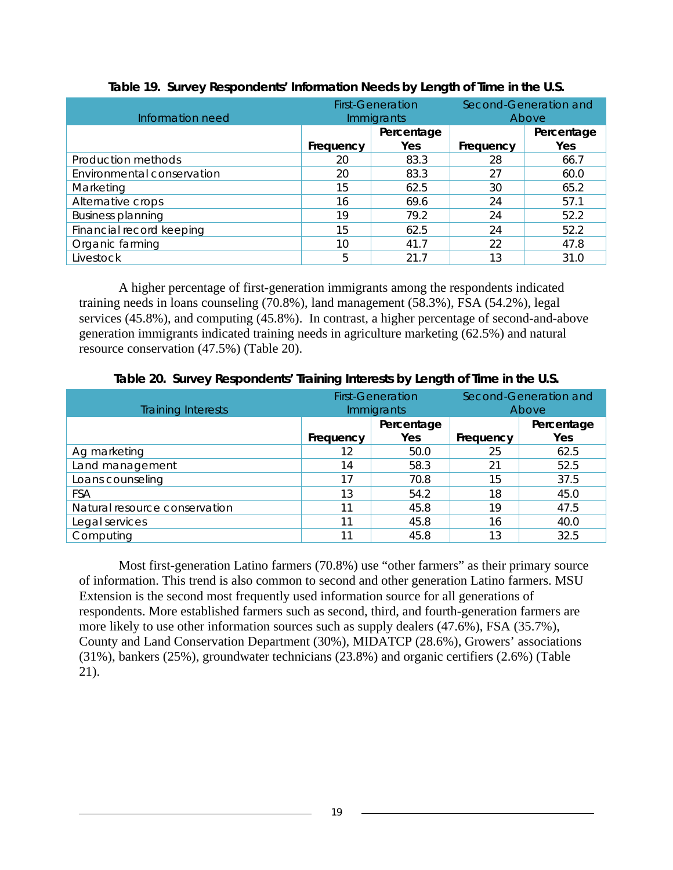| Information need           | <b>First-Generation</b><br><b>Immigrants</b> |                   | Second-Generation and<br>Above |                   |
|----------------------------|----------------------------------------------|-------------------|--------------------------------|-------------------|
|                            | Frequency                                    | Percentage<br>Yes | Frequency                      | Percentage<br>Yes |
| Production methods         | 20                                           | 83.3              | 28                             | 66.7              |
| Environmental conservation | 20                                           | 83.3              | 27                             | 60.0              |
| Marketing                  | 15                                           | 62.5              | 30                             | 65.2              |
| Alternative crops          | 16                                           | 69.6              | 24                             | 57.1              |
| <b>Business planning</b>   | 19                                           | 79.2              | 24                             | 52.2              |
| Financial record keeping   | 15                                           | 62.5              | 24                             | 52.2              |
| Organic farming            | 10                                           | 41.7              | 22                             | 47.8              |
| Livestock                  | 5                                            | 21.7              | 13                             | 31.0              |

#### **Table 19. Survey Respondents' Information Needs by Length of Time in the U.S.**

 A higher percentage of first-generation immigrants among the respondents indicated training needs in loans counseling (70.8%), land management (58.3%), FSA (54.2%), legal services (45.8%), and computing (45.8%). In contrast, a higher percentage of second-and-above generation immigrants indicated training needs in agriculture marketing (62.5%) and natural resource conservation (47.5%) (Table 20).

| <b>Training Interests</b>     | <b>First-Generation</b><br>Immigrants |            | Second-Generation and<br>Above |            |
|-------------------------------|---------------------------------------|------------|--------------------------------|------------|
|                               |                                       | Percentage |                                | Percentage |
|                               | Frequency                             | Yes        | Frequency                      | Yes        |
| Ag marketing                  | 12                                    | 50.0       | 25                             | 62.5       |
| Land management               | 14                                    | 58.3       | 21                             | 52.5       |
| Loans counseling              | 17                                    | 70.8       | 15                             | 37.5       |
| <b>FSA</b>                    | 13                                    | 54.2       | 18                             | 45.0       |
| Natural resource conservation | 11                                    | 45.8       | 19                             | 47.5       |
| Legal services                | 11                                    | 45.8       | 16                             | 40.0       |
| Computing                     |                                       | 45.8       | 13                             | 32.5       |

#### **Table 20. Survey Respondents' Training Interests by Length of Time in the U.S.**

Most first-generation Latino farmers (70.8%) use "other farmers" as their primary source of information. This trend is also common to second and other generation Latino farmers. MSU Extension is the second most frequently used information source for all generations of respondents. More established farmers such as second, third, and fourth-generation farmers are more likely to use other information sources such as supply dealers (47.6%), FSA (35.7%), County and Land Conservation Department (30%), MIDATCP (28.6%), Growers' associations (31%), bankers (25%), groundwater technicians (23.8%) and organic certifiers (2.6%) (Table 21).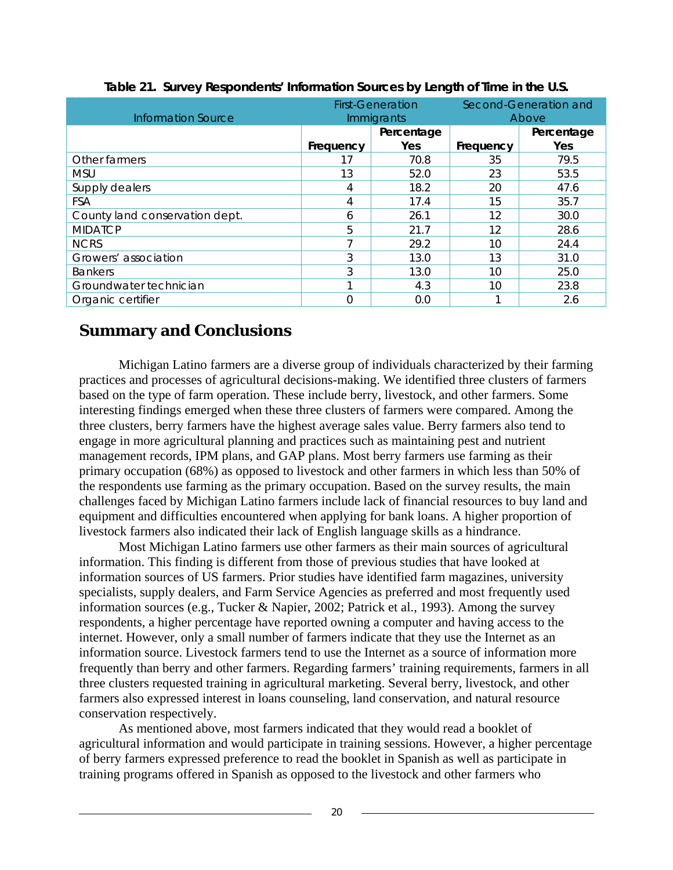| <b>Information Source</b>      | <b>First-Generation</b><br>Immigrants |                   | Second-Generation and<br>Above |                   |
|--------------------------------|---------------------------------------|-------------------|--------------------------------|-------------------|
|                                | Frequency                             | Percentage<br>Yes | Frequency                      | Percentage<br>Yes |
| Other farmers                  | 17                                    | 70.8              | 35                             | 79.5              |
| <b>MSU</b>                     | 13                                    | 52.0              | 23                             | 53.5              |
| Supply dealers                 | 4                                     | 18.2              | 20                             | 47.6              |
| <b>FSA</b>                     | 4                                     | 17.4              | 15                             | 35.7              |
| County land conservation dept. | 6                                     | 26.1              | 12                             | 30.0              |
| <b>MIDATCP</b>                 | 5                                     | 21.7              | 12                             | 28.6              |
| <b>NCRS</b>                    | ⇁                                     | 29.2              | 10                             | 24.4              |
| Growers' association           | 3                                     | 13.0              | 13                             | 31.0              |
| <b>Bankers</b>                 | 3                                     | 13.0              | 10                             | 25.0              |
| Groundwater technician         |                                       | 4.3               | 10                             | 23.8              |
| Organic certifier              |                                       | 0.0               |                                | 2.6               |

#### **Table 21. Survey Respondents' Information Sources by Length of Time in the U.S.**

## **Summary and Conclusions**

Michigan Latino farmers are a diverse group of individuals characterized by their farming practices and processes of agricultural decisions-making. We identified three clusters of farmers based on the type of farm operation. These include berry, livestock, and other farmers. Some interesting findings emerged when these three clusters of farmers were compared. Among the three clusters, berry farmers have the highest average sales value. Berry farmers also tend to engage in more agricultural planning and practices such as maintaining pest and nutrient management records, IPM plans, and GAP plans. Most berry farmers use farming as their primary occupation (68%) as opposed to livestock and other farmers in which less than 50% of the respondents use farming as the primary occupation. Based on the survey results, the main challenges faced by Michigan Latino farmers include lack of financial resources to buy land and equipment and difficulties encountered when applying for bank loans. A higher proportion of livestock farmers also indicated their lack of English language skills as a hindrance.

Most Michigan Latino farmers use other farmers as their main sources of agricultural information. This finding is different from those of previous studies that have looked at information sources of US farmers. Prior studies have identified farm magazines, university specialists, supply dealers, and Farm Service Agencies as preferred and most frequently used information sources (e.g., Tucker & Napier, 2002; Patrick et al., 1993). Among the survey respondents, a higher percentage have reported owning a computer and having access to the internet. However, only a small number of farmers indicate that they use the Internet as an information source. Livestock farmers tend to use the Internet as a source of information more frequently than berry and other farmers. Regarding farmers' training requirements, farmers in all three clusters requested training in agricultural marketing. Several berry, livestock, and other farmers also expressed interest in loans counseling, land conservation, and natural resource conservation respectively.

As mentioned above, most farmers indicated that they would read a booklet of agricultural information and would participate in training sessions. However, a higher percentage of berry farmers expressed preference to read the booklet in Spanish as well as participate in training programs offered in Spanish as opposed to the livestock and other farmers who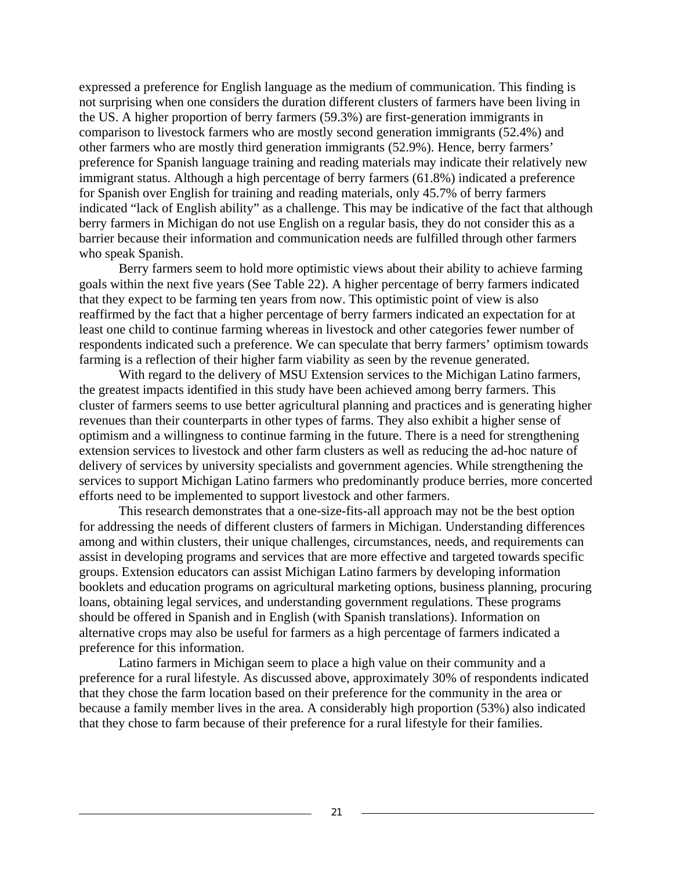expressed a preference for English language as the medium of communication. This finding is not surprising when one considers the duration different clusters of farmers have been living in the US. A higher proportion of berry farmers (59.3%) are first-generation immigrants in comparison to livestock farmers who are mostly second generation immigrants (52.4%) and other farmers who are mostly third generation immigrants (52.9%). Hence, berry farmers' preference for Spanish language training and reading materials may indicate their relatively new immigrant status. Although a high percentage of berry farmers (61.8%) indicated a preference for Spanish over English for training and reading materials, only 45.7% of berry farmers indicated "lack of English ability" as a challenge. This may be indicative of the fact that although berry farmers in Michigan do not use English on a regular basis, they do not consider this as a barrier because their information and communication needs are fulfilled through other farmers who speak Spanish.

Berry farmers seem to hold more optimistic views about their ability to achieve farming goals within the next five years (See Table 22). A higher percentage of berry farmers indicated that they expect to be farming ten years from now. This optimistic point of view is also reaffirmed by the fact that a higher percentage of berry farmers indicated an expectation for at least one child to continue farming whereas in livestock and other categories fewer number of respondents indicated such a preference. We can speculate that berry farmers' optimism towards farming is a reflection of their higher farm viability as seen by the revenue generated.

With regard to the delivery of MSU Extension services to the Michigan Latino farmers, the greatest impacts identified in this study have been achieved among berry farmers. This cluster of farmers seems to use better agricultural planning and practices and is generating higher revenues than their counterparts in other types of farms. They also exhibit a higher sense of optimism and a willingness to continue farming in the future. There is a need for strengthening extension services to livestock and other farm clusters as well as reducing the ad-hoc nature of delivery of services by university specialists and government agencies. While strengthening the services to support Michigan Latino farmers who predominantly produce berries, more concerted efforts need to be implemented to support livestock and other farmers.

 This research demonstrates that a one-size-fits-all approach may not be the best option for addressing the needs of different clusters of farmers in Michigan. Understanding differences among and within clusters, their unique challenges, circumstances, needs, and requirements can assist in developing programs and services that are more effective and targeted towards specific groups. Extension educators can assist Michigan Latino farmers by developing information booklets and education programs on agricultural marketing options, business planning, procuring loans, obtaining legal services, and understanding government regulations. These programs should be offered in Spanish and in English (with Spanish translations). Information on alternative crops may also be useful for farmers as a high percentage of farmers indicated a preference for this information.

Latino farmers in Michigan seem to place a high value on their community and a preference for a rural lifestyle. As discussed above, approximately 30% of respondents indicated that they chose the farm location based on their preference for the community in the area or because a family member lives in the area. A considerably high proportion (53%) also indicated that they chose to farm because of their preference for a rural lifestyle for their families.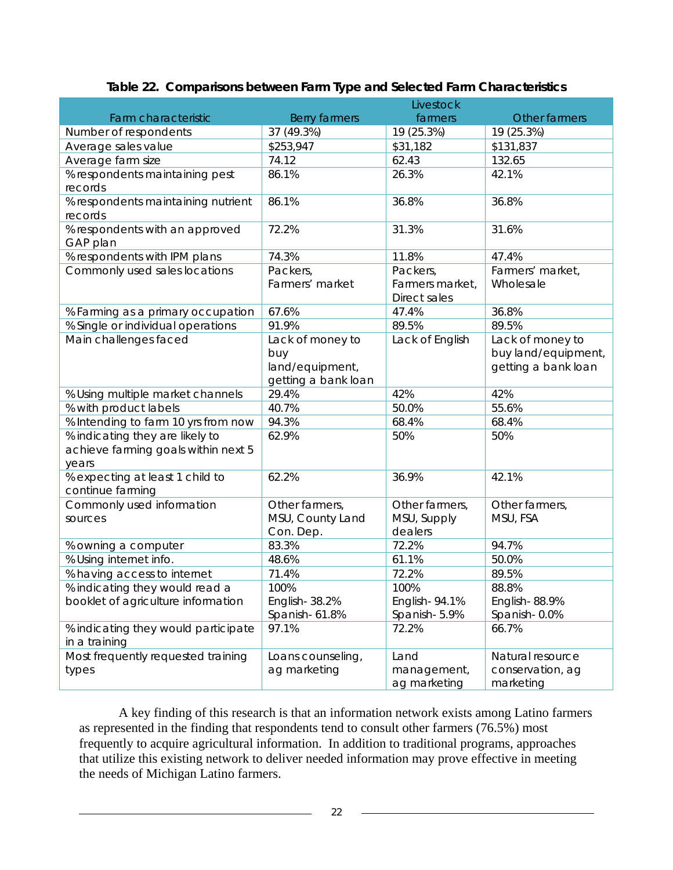|                                                                                 | Livestock                                                         |                                             |                                                                |  |
|---------------------------------------------------------------------------------|-------------------------------------------------------------------|---------------------------------------------|----------------------------------------------------------------|--|
| Farm characteristic                                                             | <b>Berry farmers</b>                                              | farmers                                     | <b>Other farmers</b>                                           |  |
| Number of respondents                                                           | 37 (49.3%)                                                        | 19 (25.3%)                                  | 19 (25.3%)                                                     |  |
| Average sales value                                                             | \$253,947                                                         | \$31,182                                    | \$131,837                                                      |  |
| Average farm size                                                               | 74.12                                                             | 62.43                                       | 132.65                                                         |  |
| % respondents maintaining pest<br>records                                       | 86.1%                                                             | 26.3%                                       | 42.1%                                                          |  |
| % respondents maintaining nutrient<br>records                                   | 86.1%                                                             | 36.8%                                       | 36.8%                                                          |  |
| % respondents with an approved<br>GAP plan                                      | 72.2%                                                             | 31.3%                                       | 31.6%                                                          |  |
| % respondents with IPM plans                                                    | 74.3%                                                             | 11.8%                                       | 47.4%                                                          |  |
| Commonly used sales locations                                                   | Packers,<br>Farmers' market                                       | Packers,<br>Farmers market,<br>Direct sales | Farmers' market,<br>Wholesale                                  |  |
| % Farming as a primary occupation                                               | 67.6%                                                             | 47.4%                                       | 36.8%                                                          |  |
| % Single or individual operations                                               | 91.9%                                                             | 89.5%                                       | 89.5%                                                          |  |
| Main challenges faced                                                           | Lack of money to<br>buy<br>land/equipment,<br>getting a bank loan | Lack of English                             | Lack of money to<br>buy land/equipment,<br>getting a bank loan |  |
| % Using multiple market channels                                                | 29.4%                                                             | 42%                                         | 42%                                                            |  |
| % with product labels                                                           | 40.7%                                                             | 50.0%                                       | 55.6%                                                          |  |
| % Intending to farm 10 yrs from now                                             | 94.3%                                                             | 68.4%                                       | 68.4%                                                          |  |
| % indicating they are likely to<br>achieve farming goals within next 5<br>years | 62.9%                                                             | 50%                                         | 50%                                                            |  |
| % expecting at least 1 child to<br>continue farming                             | 62.2%                                                             | 36.9%                                       | 42.1%                                                          |  |
| Commonly used information<br>sources                                            | Other farmers,<br>MSU, County Land<br>Con. Dep.                   | Other farmers,<br>MSU, Supply<br>dealers    | Other farmers,<br>MSU, FSA                                     |  |
| % owning a computer                                                             | 83.3%                                                             | 72.2%                                       | 94.7%                                                          |  |
| % Using internet info.                                                          | 48.6%                                                             | 61.1%                                       | 50.0%                                                          |  |
| % having access to internet                                                     | 71.4%                                                             | 72.2%                                       | 89.5%                                                          |  |
| % indicating they would read a                                                  | 100%                                                              | 100%                                        | 88.8%                                                          |  |
| booklet of agriculture information                                              | English - 38.2%<br>Spanish-61.8%                                  | English- 94.1%<br>Spanish-5.9%              | English-88.9%<br>Spanish-0.0%                                  |  |
| % indicating they would participate<br>in a training                            | 97.1%                                                             | 72.2%                                       | 66.7%                                                          |  |
| Most frequently requested training<br>types                                     | Loans counseling,<br>ag marketing                                 | Land<br>management,<br>ag marketing         | Natural resource<br>conservation, ag<br>marketing              |  |

### **Table 22. Comparisons between Farm Type and Selected Farm Characteristics**

 A key finding of this research is that an information network exists among Latino farmers as represented in the finding that respondents tend to consult other farmers (76.5%) most frequently to acquire agricultural information. In addition to traditional programs, approaches that utilize this existing network to deliver needed information may prove effective in meeting the needs of Michigan Latino farmers.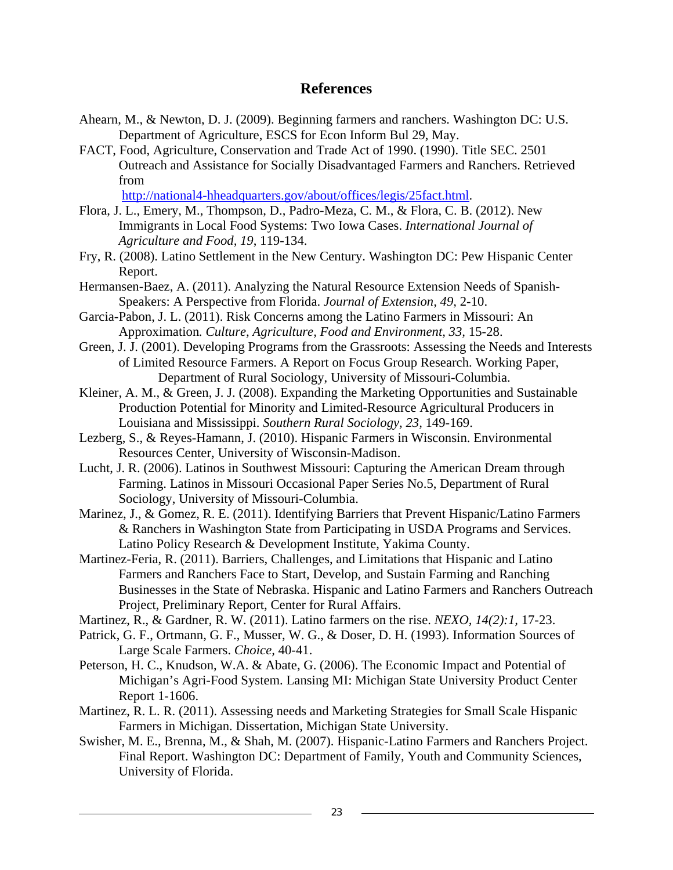## **References**

- Ahearn, M., & Newton, D. J. (2009). Beginning farmers and ranchers. Washington DC: U.S. Department of Agriculture, ESCS for Econ Inform Bul 29, May.
- FACT, Food, Agriculture, Conservation and Trade Act of 1990. (1990). Title SEC. 2501 Outreach and Assistance for Socially Disadvantaged Farmers and Ranchers. Retrieved from

http://national4-hheadquarters.gov/about/offices/legis/25fact.html.

- Flora, J. L., Emery, M., Thompson, D., Padro-Meza, C. M., & Flora, C. B. (2012). New Immigrants in Local Food Systems: Two Iowa Cases. *International Journal of Agriculture and Food, 19*, 119-134.
- Fry, R. (2008). Latino Settlement in the New Century. Washington DC: Pew Hispanic Center Report.
- Hermansen-Baez, A. (2011). Analyzing the Natural Resource Extension Needs of Spanish-Speakers: A Perspective from Florida. *Journal of Extension, 49,* 2-10.
- Garcia-Pabon, J. L. (2011). Risk Concerns among the Latino Farmers in Missouri: An Approximation*. Culture, Agriculture, Food and Environment, 33,* 15-28.
- Green, J. J. (2001). Developing Programs from the Grassroots: Assessing the Needs and Interests of Limited Resource Farmers. A Report on Focus Group Research. Working Paper, Department of Rural Sociology, University of Missouri-Columbia.
- Kleiner, A. M., & Green, J. J. (2008). Expanding the Marketing Opportunities and Sustainable Production Potential for Minority and Limited-Resource Agricultural Producers in Louisiana and Mississippi. *Southern Rural Sociology, 23,* 149-169.
- Lezberg, S., & Reyes-Hamann, J. (2010). Hispanic Farmers in Wisconsin. Environmental Resources Center, University of Wisconsin-Madison.
- Lucht, J. R. (2006). Latinos in Southwest Missouri: Capturing the American Dream through Farming. Latinos in Missouri Occasional Paper Series No.5, Department of Rural Sociology, University of Missouri-Columbia.
- Marinez, J., & Gomez, R. E. (2011). Identifying Barriers that Prevent Hispanic/Latino Farmers & Ranchers in Washington State from Participating in USDA Programs and Services. Latino Policy Research & Development Institute, Yakima County.
- Martinez-Feria, R. (2011). Barriers, Challenges, and Limitations that Hispanic and Latino Farmers and Ranchers Face to Start, Develop, and Sustain Farming and Ranching Businesses in the State of Nebraska. Hispanic and Latino Farmers and Ranchers Outreach Project, Preliminary Report, Center for Rural Affairs.
- Martinez, R., & Gardner, R. W. (2011). Latino farmers on the rise. *NEXO, 14(2):1,* 17-23.
- Patrick, G. F., Ortmann, G. F., Musser, W. G., & Doser, D. H. (1993). Information Sources of Large Scale Farmers. *Choice,* 40-41.
- Peterson, H. C., Knudson, W.A. & Abate, G. (2006). The Economic Impact and Potential of Michigan's Agri-Food System. Lansing MI: Michigan State University Product Center Report 1-1606.
- Martinez, R. L. R. (2011). Assessing needs and Marketing Strategies for Small Scale Hispanic Farmers in Michigan. Dissertation, Michigan State University.
- Swisher, M. E., Brenna, M., & Shah, M. (2007). Hispanic-Latino Farmers and Ranchers Project. Final Report. Washington DC: Department of Family, Youth and Community Sciences, University of Florida.